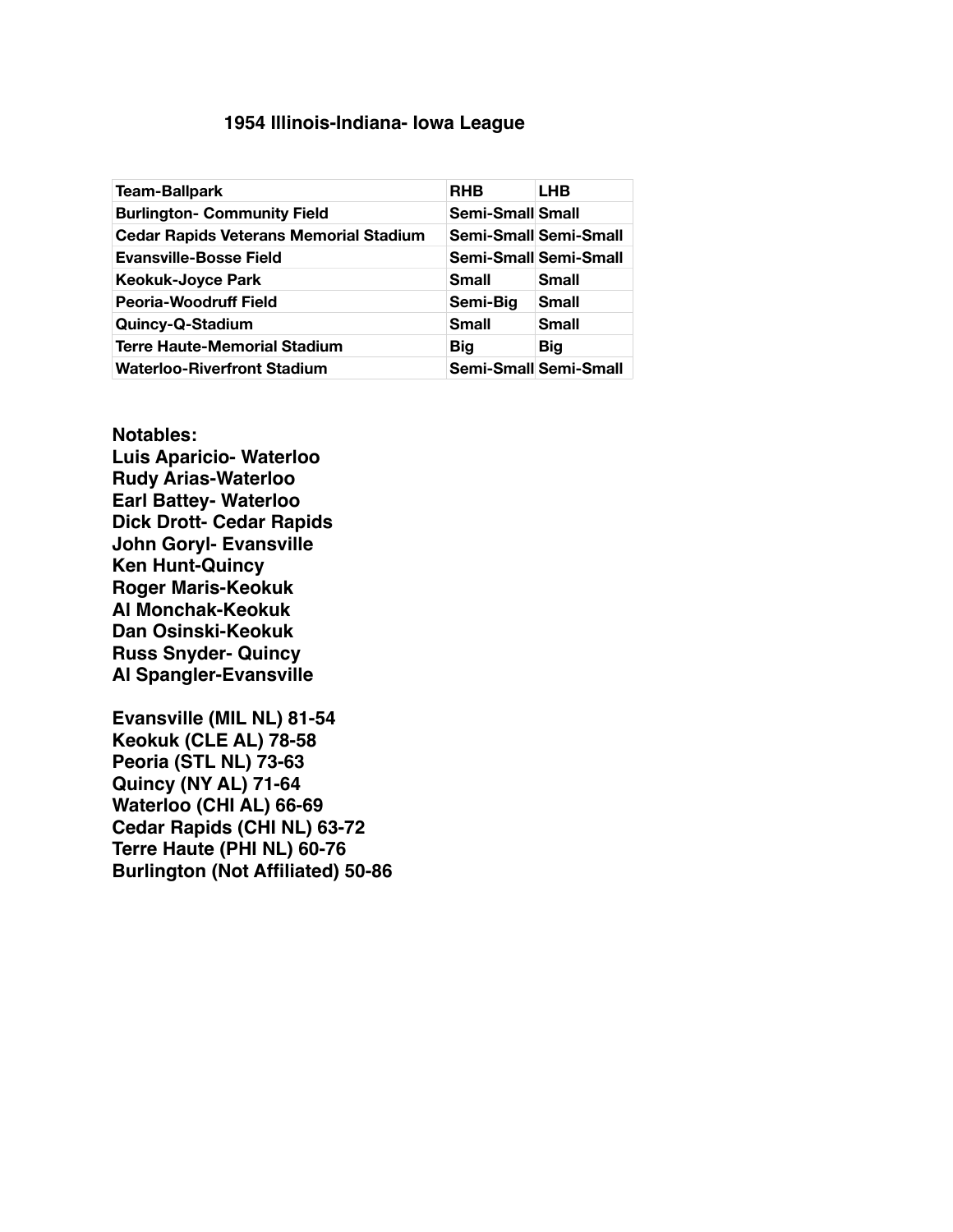## **! ! 1954 Illinois-Indiana- Iowa League**

| <b>Team-Ballpark</b>                          | <b>RHB</b>       | LHB                          |
|-----------------------------------------------|------------------|------------------------------|
| <b>Burlington- Community Field</b>            | Semi-Small Small |                              |
| <b>Cedar Rapids Veterans Memorial Stadium</b> |                  | <b>Semi-Small Semi-Small</b> |
| <b>Evansville-Bosse Field</b>                 |                  | <b>Semi-Small Semi-Small</b> |
| <b>Keokuk-Joyce Park</b>                      | Small            | <b>Small</b>                 |
| Peoria-Woodruff Field                         | Semi-Big         | <b>Small</b>                 |
| Quincy-Q-Stadium                              | <b>Small</b>     | <b>Small</b>                 |
| <b>Terre Haute-Memorial Stadium</b>           | Big              | <b>Big</b>                   |
| <b>Waterloo-Riverfront Stadium</b>            |                  | <b>Semi-Small Semi-Small</b> |

**Notables: Luis Aparicio- Waterloo Rudy Arias-Waterloo Earl Battey- Waterloo Dick Drott- Cedar Rapids John Goryl- Evansville Ken Hunt-Quincy Roger Maris-Keokuk Al Monchak-Keokuk Dan Osinski-Keokuk Russ Snyder- Quincy Al Spangler-Evansville**

**Evansville (MIL NL) 81-54 Keokuk (CLE AL) 78-58 Peoria (STL NL) 73-63 Quincy (NY AL) 71-64 Waterloo (CHI AL) 66-69 Cedar Rapids (CHI NL) 63-72 Terre Haute (PHI NL) 60-76 Burlington (Not Affiliated) 50-86**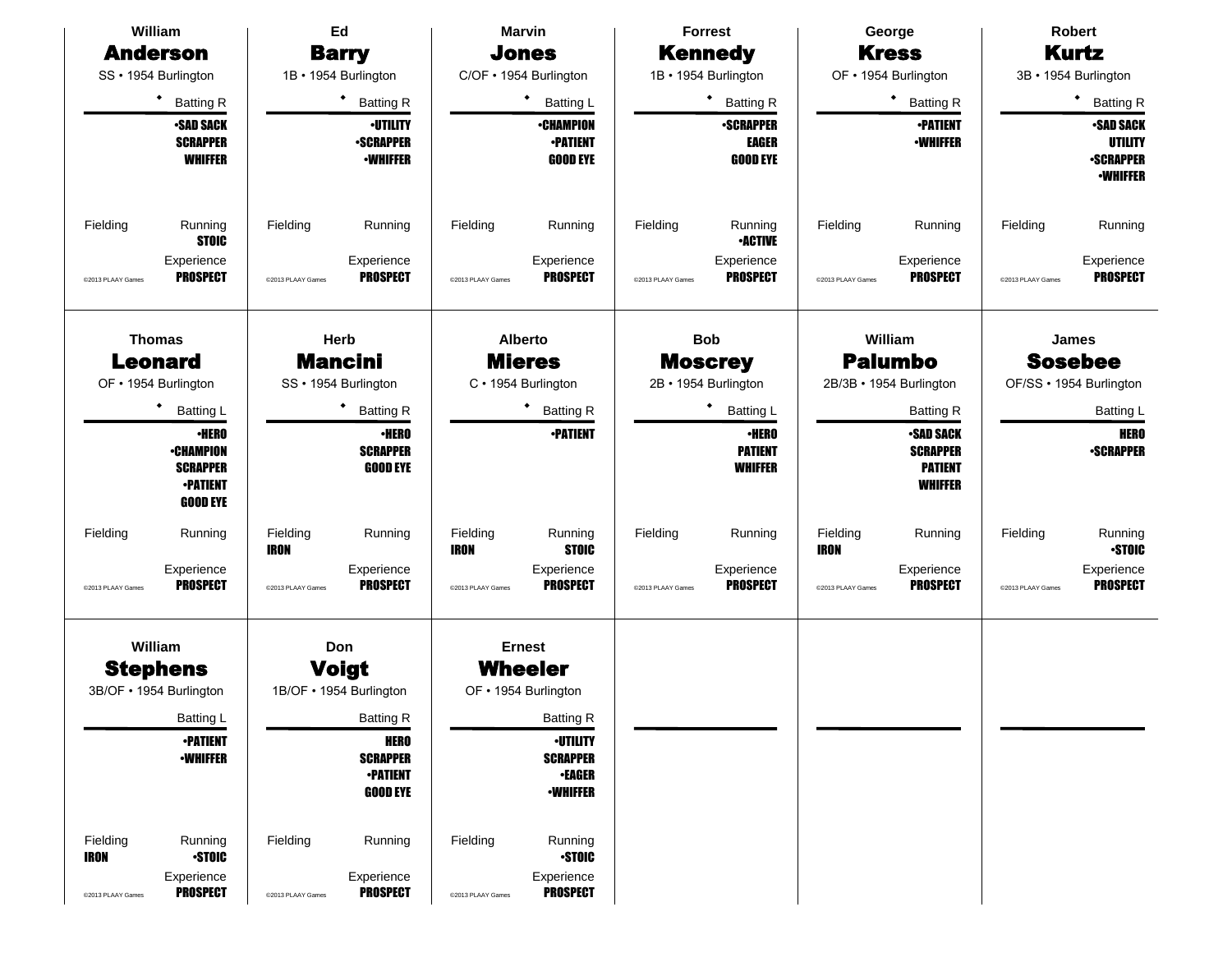| William                                                           |                                                                                                                    | Ed                                           |                                                                                                                                                       | <b>Marvin</b>                         |                                                                                                                                                                  |                               | <b>Forrest</b>                                                       |                                              | Robert<br>George                                                                            |                               |                                                                   |
|-------------------------------------------------------------------|--------------------------------------------------------------------------------------------------------------------|----------------------------------------------|-------------------------------------------------------------------------------------------------------------------------------------------------------|---------------------------------------|------------------------------------------------------------------------------------------------------------------------------------------------------------------|-------------------------------|----------------------------------------------------------------------|----------------------------------------------|---------------------------------------------------------------------------------------------|-------------------------------|-------------------------------------------------------------------|
| <b>Anderson</b>                                                   |                                                                                                                    |                                              | <b>Barry</b>                                                                                                                                          |                                       | <b>Jones</b>                                                                                                                                                     |                               | <b>Kennedy</b>                                                       |                                              | <b>Kress</b>                                                                                |                               | <b>Kurtz</b>                                                      |
| SS · 1954 Burlington                                              |                                                                                                                    |                                              | 1B · 1954 Burlington                                                                                                                                  |                                       | C/OF • 1954 Burlington                                                                                                                                           |                               | 1B · 1954 Burlington                                                 |                                              | OF • 1954 Burlington                                                                        |                               | 3B · 1954 Burlington                                              |
|                                                                   | ٠<br><b>Batting R</b>                                                                                              |                                              | $\bullet$<br><b>Batting R</b>                                                                                                                         |                                       | ٠<br><b>Batting L</b>                                                                                                                                            |                               | <b>Batting R</b>                                                     |                                              | $\bullet$<br><b>Batting R</b>                                                               |                               | ٠<br><b>Batting R</b>                                             |
|                                                                   | <b>-SAD SACK</b><br><b>SCRAPPER</b><br><b>WHIFFER</b>                                                              |                                              | <b>-UTILITY</b><br><b>•SCRAPPER</b><br><b>-WHIFFER</b>                                                                                                |                                       | <b>•CHAMPION</b><br><b>•PATIENT</b><br><b>GOOD EYE</b>                                                                                                           |                               | <b>-SCRAPPER</b><br><b>EAGER</b><br><b>GOOD EYE</b>                  |                                              | <b>-PATIENT</b><br><b>•WHIFFER</b>                                                          |                               | <b>SAD SACK</b><br>UTILITY<br><b>•SCRAPPER</b><br><b>-WHIFFER</b> |
| Fielding<br>@2013 PLAAY Games                                     | Running<br><b>STOIC</b><br>Experience<br><b>PROSPECT</b>                                                           | Fielding<br>@2013 PLAAY Games                | Running<br>Experience<br><b>PROSPECT</b>                                                                                                              | Fielding<br>@2013 PLAAY Games         | Running<br>Experience<br><b>PROSPECT</b>                                                                                                                         | Fielding<br>@2013 PLAAY Games | Running<br><b>-ACTIVE</b><br>Experience<br><b>PROSPECT</b>           | Fielding<br>@2013 PLAAY Games                | Running<br>Experience<br><b>PROSPECT</b>                                                    | Fielding<br>@2013 PLAAY Games | Running<br>Experience<br><b>PROSPECT</b>                          |
| <b>Thomas</b><br><b>Leonard</b><br>OF • 1954 Burlington           |                                                                                                                    |                                              | Herb<br><b>Mancini</b><br>SS · 1954 Burlington                                                                                                        |                                       | <b>Alberto</b><br><b>Mieres</b><br>C · 1954 Burlington                                                                                                           |                               | <b>Bob</b><br><b>Moscrey</b><br>2B · 1954 Burlington                 |                                              | William<br><b>Palumbo</b><br>2B/3B · 1954 Burlington                                        |                               | <b>James</b><br><b>Sosebee</b><br>OF/SS • 1954 Burlington         |
|                                                                   | ٠<br><b>Batting L</b><br><b>·HERO</b><br><b>•CHAMPION</b><br><b>SCRAPPER</b><br><b>•PATIENT</b><br><b>GOOD EYE</b> |                                              | <b>Batting R</b><br><b>•HERO</b><br><b>SCRAPPER</b><br><b>GOOD EYE</b>                                                                                |                                       | ٠<br><b>Batting R</b><br><b>-PATIENT</b>                                                                                                                         |                               | <b>Batting L</b><br><b>·HERO</b><br><b>PATIENT</b><br><b>WHIFFER</b> |                                              | <b>Batting R</b><br><b>•SAD SACK</b><br><b>SCRAPPER</b><br><b>PATIENT</b><br><b>WHIFFER</b> |                               | <b>Batting L</b><br><b>HERO</b><br><b>•SCRAPPER</b>               |
| Fielding<br>@2013 PLAAY Games                                     | Running<br>Experience<br><b>PROSPECT</b>                                                                           | Fielding<br><b>IRON</b><br>@2013 PLAAY Games | Running<br>Experience<br><b>PROSPECT</b>                                                                                                              | Fielding<br>IRON<br>@2013 PLAAY Games | Running<br><b>STOIC</b><br>Experience<br><b>PROSPECT</b>                                                                                                         | Fielding<br>@2013 PLAAY Games | Running<br>Experience<br><b>PROSPECT</b>                             | Fielding<br><b>IRON</b><br>@2013 PLAAY Games | Running<br>Experience<br><b>PROSPECT</b>                                                    | Fielding<br>@2013 PLAAY Games | Running<br><b>STOIC</b><br>Experience<br><b>PROSPECT</b>          |
| William<br><b>Stephens</b><br>3B/OF • 1954 Burlington<br>Fielding | Batting L<br><b>•PATIENT</b><br><b>-WHIFFER</b><br>Running                                                         | Fielding                                     | Don<br><b>Voigt</b><br>1B/OF · 1954 Burlington<br><b>Batting R</b><br><b>HERO</b><br><b>SCRAPPER</b><br><b>-PATIENT</b><br><b>GOOD EYE</b><br>Running | Fielding                              | <b>Ernest</b><br><b>Wheeler</b><br>OF • 1954 Burlington<br><b>Batting R</b><br><b>·UTILITY</b><br><b>SCRAPPER</b><br><b>•EAGER</b><br><b>•WHIFFER</b><br>Running |                               |                                                                      |                                              |                                                                                             |                               |                                                                   |
| <b>IRON</b><br>@2013 PLAAY Games                                  | <b>STOIC</b><br>Experience<br><b>PROSPECT</b>                                                                      | @2013 PLAAY Games                            | Experience<br><b>PROSPECT</b>                                                                                                                         | @2013 PLAAY Games                     | <b>STOIC</b><br>Experience<br><b>PROSPECT</b>                                                                                                                    |                               |                                                                      |                                              |                                                                                             |                               |                                                                   |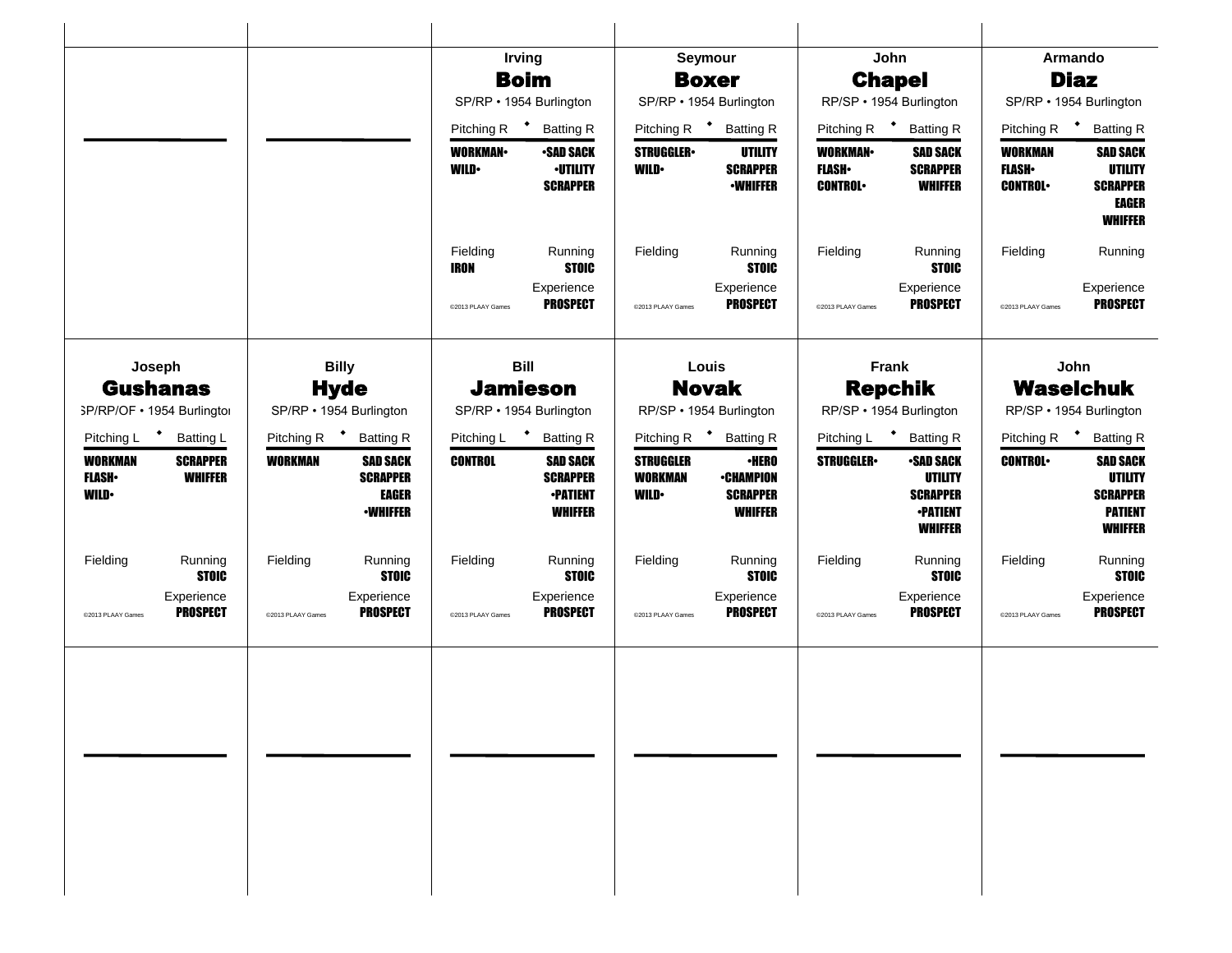|                                               |                                          |                         |                                                                       |                               | <b>Irving</b>                                                           |                                                   | Seymour                                                               |                                                                     | John                                                                                       |                                                  | Armando                                                                                  |
|-----------------------------------------------|------------------------------------------|-------------------------|-----------------------------------------------------------------------|-------------------------------|-------------------------------------------------------------------------|---------------------------------------------------|-----------------------------------------------------------------------|---------------------------------------------------------------------|--------------------------------------------------------------------------------------------|--------------------------------------------------|------------------------------------------------------------------------------------------|
|                                               |                                          |                         |                                                                       |                               | <b>Boim</b>                                                             |                                                   | <b>Boxer</b>                                                          |                                                                     | <b>Chapel</b>                                                                              |                                                  | <b>Diaz</b>                                                                              |
|                                               |                                          |                         |                                                                       |                               | SP/RP · 1954 Burlington                                                 |                                                   | SP/RP · 1954 Burlington                                               | RP/SP · 1954 Burlington<br>Pitching R $\bullet$<br><b>Batting R</b> |                                                                                            |                                                  | SP/RP · 1954 Burlington                                                                  |
|                                               |                                          |                         |                                                                       | Pitching R                    | $\mathcal{L}$<br><b>Batting R</b>                                       |                                                   | Pitching R <sup>+</sup> Batting R                                     |                                                                     |                                                                                            | Pitching R <sup>+</sup>                          | <b>Batting R</b>                                                                         |
|                                               |                                          |                         |                                                                       | <b>WORKMAN</b><br><b>WILD</b> | <b>-SAD SACK</b><br><b>·UTILITY</b><br><b>SCRAPPER</b>                  | <b>STRUGGLER</b><br><b>WILD</b>                   | UTILITY<br><b>SCRAPPER</b><br><b>•WHIFFER</b>                         | <b>WORKMAN</b><br><b>FLASH</b><br><b>CONTROL</b>                    | <b>SAD SACK</b><br><b>SCRAPPER</b><br><b>WHIFFER</b>                                       | <b>WORKMAN</b><br><b>FLASH</b><br><b>CONTROL</b> | <b>SAD SACK</b><br><b>UTILITY</b><br><b>SCRAPPER</b><br><b>EAGER</b><br><b>WHIFFER</b>   |
|                                               |                                          |                         |                                                                       | Fielding<br><b>IRON</b>       | Running<br><b>STOIC</b>                                                 | Fielding                                          | Running<br><b>STOIC</b>                                               | Fielding                                                            | Running<br><b>STOIC</b>                                                                    | Fielding                                         | Running                                                                                  |
|                                               |                                          |                         |                                                                       | @2013 PLAAY Games             | Experience<br><b>PROSPECT</b>                                           | @2013 PLAAY Games                                 | Experience<br><b>PROSPECT</b>                                         | @2013 PLAAY Games                                                   | Experience<br><b>PROSPECT</b>                                                              | @2013 PLAAY Games                                | Experience<br><b>PROSPECT</b>                                                            |
|                                               | Joseph                                   |                         | <b>Billy</b>                                                          |                               | <b>Bill</b>                                                             |                                                   | Louis                                                                 |                                                                     | <b>Frank</b>                                                                               |                                                  | John                                                                                     |
|                                               | <b>Gushanas</b>                          |                         | <b>Hyde</b>                                                           |                               | <b>Jamieson</b>                                                         | <b>Novak</b>                                      |                                                                       | <b>Repchik</b><br>RP/SP · 1954 Burlington                           |                                                                                            | <b>Waselchuk</b><br>RP/SP · 1954 Burlington      |                                                                                          |
|                                               | SP/RP/OF . 1954 Burlington               |                         | SP/RP · 1954 Burlington                                               |                               | SP/RP · 1954 Burlington                                                 |                                                   | RP/SP · 1954 Burlington                                               |                                                                     |                                                                                            |                                                  |                                                                                          |
| Pitching L                                    | $\ddot{\phantom{1}}$<br><b>Batting L</b> | Pitching R <sup>+</sup> | <b>Batting R</b>                                                      | Pitching L                    | * Batting R                                                             |                                                   | Pitching R <sup>+</sup> Batting R                                     |                                                                     | Pitching L * Batting R                                                                     | Pitching R                                       | <b>Batting R</b>                                                                         |
| <b>WORKMAN</b><br><b>FLASH</b><br><b>WILD</b> | <b>SCRAPPER</b><br><b>WHIFFER</b>        | <b>WORKMAN</b>          | <b>SAD SACK</b><br><b>SCRAPPER</b><br><b>EAGER</b><br><b>•WHIFFER</b> | <b>CONTROL</b>                | <b>SAD SACK</b><br><b>SCRAPPER</b><br><b>-PATIENT</b><br><b>WHIFFER</b> | <b>STRUGGLER</b><br><b>WORKMAN</b><br><b>WILD</b> | $\cdot$ HERO<br><b>•CHAMPION</b><br><b>SCRAPPER</b><br><b>WHIFFER</b> | <b>STRUGGLER</b>                                                    | <b>•SAD SACK</b><br><b>UTILITY</b><br><b>SCRAPPER</b><br><b>•PATIENT</b><br><b>WHIFFER</b> | <b>CONTROL</b>                                   | <b>SAD SACK</b><br><b>UTILITY</b><br><b>SCRAPPER</b><br><b>PATIENT</b><br><b>WHIFFER</b> |
| Fielding                                      | Running<br><b>STOIC</b>                  | Fielding                | Running<br><b>STOIC</b>                                               | Fielding                      | Running<br><b>STOIC</b>                                                 | Fielding                                          | Running<br><b>STOIC</b>                                               | Fielding                                                            | Running<br><b>STOIC</b>                                                                    | Fielding                                         | Running<br><b>STOIC</b>                                                                  |
| @2013 PLAAY Games                             | Experience<br><b>PROSPECT</b>            | @2013 PLAAY Games       | Experience<br><b>PROSPECT</b>                                         | @2013 PLAAY Games             | Experience<br><b>PROSPECT</b>                                           | @2013 PLAAY Games                                 | Experience<br><b>PROSPECT</b>                                         | @2013 PLAAY Games                                                   | Experience<br><b>PROSPECT</b>                                                              | @2013 PLAAY Games                                | Experience<br><b>PROSPECT</b>                                                            |
|                                               |                                          |                         |                                                                       |                               |                                                                         |                                                   |                                                                       |                                                                     |                                                                                            |                                                  |                                                                                          |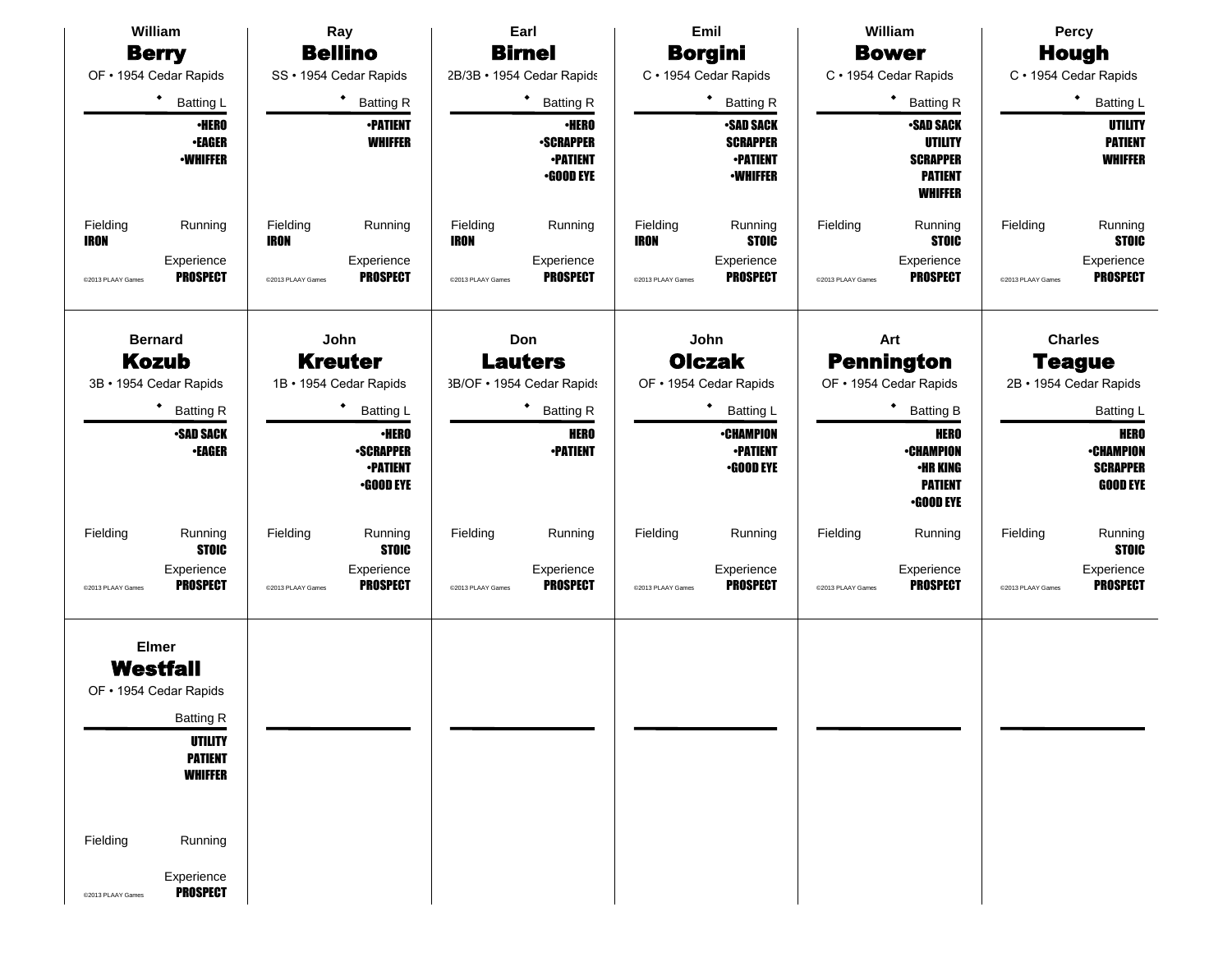| William                                                                                                                                                                                                   | Ray                                                                     | Earl                                                                    | Emil                                                                     | William                                                                                   | <b>Percy</b>                                                          |  |  |
|-----------------------------------------------------------------------------------------------------------------------------------------------------------------------------------------------------------|-------------------------------------------------------------------------|-------------------------------------------------------------------------|--------------------------------------------------------------------------|-------------------------------------------------------------------------------------------|-----------------------------------------------------------------------|--|--|
| <b>Berry</b>                                                                                                                                                                                              | <b>Bellino</b>                                                          | <b>Birnel</b>                                                           | <b>Borgini</b>                                                           | <b>Bower</b>                                                                              | <b>Hough</b>                                                          |  |  |
| OF . 1954 Cedar Rapids                                                                                                                                                                                    | SS · 1954 Cedar Rapids                                                  | 2B/3B · 1954 Cedar Rapids                                               | C · 1954 Cedar Rapids                                                    | C · 1954 Cedar Rapids                                                                     | C · 1954 Cedar Rapids                                                 |  |  |
| $\bullet$<br><b>Batting L</b>                                                                                                                                                                             | <b>Batting R</b>                                                        | ٠<br><b>Batting R</b>                                                   | <b>Batting R</b>                                                         | ٠<br><b>Batting R</b>                                                                     | ٠<br>Batting L                                                        |  |  |
| <b>•HERO</b><br><b>•EAGER</b><br><b>•WHIFFER</b>                                                                                                                                                          | <b>-PATIENT</b><br><b>WHIFFER</b>                                       | <b>·HERO</b><br><b>-SCRAPPER</b><br><b>•PATIENT</b><br><b>•GOOD EYE</b> | <b>SAD SACK</b><br><b>SCRAPPER</b><br><b>•PATIENT</b><br><b>•WHIFFER</b> | <b>•SAD SACK</b><br><b>UTILITY</b><br><b>SCRAPPER</b><br><b>PATIENT</b><br><b>WHIFFER</b> | <b>UTILITY</b><br><b>PATIENT</b><br><b>WHIFFER</b>                    |  |  |
| Fielding<br>Running<br><b>IRON</b>                                                                                                                                                                        | Fielding<br>Running<br><b>IRON</b>                                      | Fielding<br>Running<br><b>IRON</b>                                      | Fielding<br>Running<br><b>STOIC</b><br><b>IRON</b>                       | Fielding<br>Running<br><b>STOIC</b>                                                       | Fielding<br>Running<br><b>STOIC</b>                                   |  |  |
| Experience<br><b>PROSPECT</b><br>@2013 PLAAY Games                                                                                                                                                        | Experience<br><b>PROSPECT</b><br>@2013 PLAAY Games                      | Experience<br><b>PROSPECT</b><br>@2013 PLAAY Games                      | Experience<br><b>PROSPECT</b><br>@2013 PLAAY Games                       | Experience<br><b>PROSPECT</b><br>@2013 PLAAY Games                                        | Experience<br><b>PROSPECT</b><br>@2013 PLAAY Games                    |  |  |
| <b>Bernard</b><br><b>Kozub</b>                                                                                                                                                                            | John<br><b>Kreuter</b>                                                  | Don<br><b>Lauters</b>                                                   | John<br><b>Olczak</b>                                                    | Art<br><b>Pennington</b>                                                                  | <b>Charles</b><br><b>Teague</b>                                       |  |  |
| 3B · 1954 Cedar Rapids                                                                                                                                                                                    | 1B · 1954 Cedar Rapids                                                  | 3B/OF . 1954 Cedar Rapids                                               | OF . 1954 Cedar Rapids                                                   | OF • 1954 Cedar Rapids                                                                    | 2B · 1954 Cedar Rapids                                                |  |  |
| ٠<br><b>Batting R</b>                                                                                                                                                                                     | <b>Batting L</b>                                                        | ٠<br><b>Batting R</b>                                                   | Batting L                                                                | ٠<br><b>Batting B</b>                                                                     | Batting L                                                             |  |  |
| <b>•SAD SACK</b><br><b>•EAGER</b>                                                                                                                                                                         | <b>-HERO</b><br><b>-SCRAPPER</b><br><b>-PATIENT</b><br><b>•GOOD EYE</b> | <b>HERO</b><br><b>•PATIENT</b>                                          | <b>•CHAMPION</b><br><b>-PATIENT</b><br><b>•GOOD EYE</b>                  | <b>HERO</b><br><b>•CHAMPION</b><br><b>•HR KING</b><br><b>PATIENT</b><br><b>•GOOD EYE</b>  | <b>HERO</b><br><b>•CHAMPION</b><br><b>SCRAPPER</b><br><b>GOOD EYE</b> |  |  |
| Fielding<br>Running<br><b>STOIC</b>                                                                                                                                                                       | Running<br>Fielding<br><b>STOIC</b>                                     | Fielding<br>Running                                                     | Fielding<br>Running                                                      | Fielding<br>Running                                                                       | Fielding<br>Running<br><b>STOIC</b>                                   |  |  |
| Experience<br><b>PROSPECT</b><br>@2013 PLAAY Games                                                                                                                                                        | Experience<br><b>PROSPECT</b><br>@2013 PLAAY Games                      | Experience<br><b>PROSPECT</b><br>@2013 PLAAY Games                      | Experience<br><b>PROSPECT</b><br>@2013 PLAAY Games                       | Experience<br><b>PROSPECT</b><br>@2013 PLAAY Games                                        | Experience<br><b>PROSPECT</b><br>@2013 PLAAY Games                    |  |  |
| <b>Elmer</b><br>Westfall<br>OF . 1954 Cedar Rapids<br><b>Batting R</b><br><b>UTILITY</b><br><b>PATIENT</b><br><b>WHIFFER</b><br>Fielding<br>Running<br>Experience<br><b>PROSPECT</b><br>@2013 PLAAY Games |                                                                         |                                                                         |                                                                          |                                                                                           |                                                                       |  |  |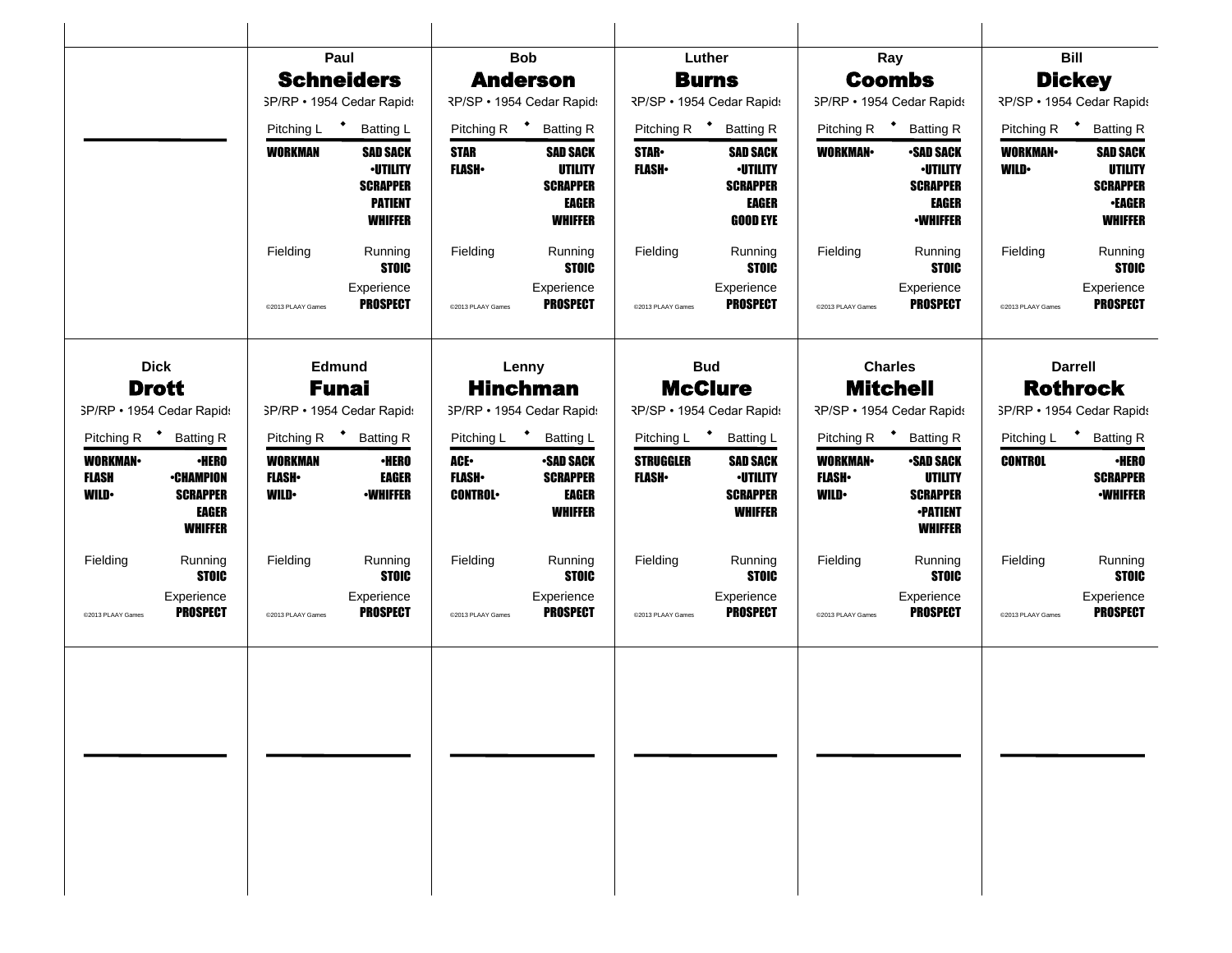|                                                 |                                                                                       |                                                 | Paul                                                                                      |                                             | <b>Bob</b>                                                                             |                                  | Luther                                                                            |                                                                      | Ray                                                                                       |                               | <b>Bill</b>                                                                             |
|-------------------------------------------------|---------------------------------------------------------------------------------------|-------------------------------------------------|-------------------------------------------------------------------------------------------|---------------------------------------------|----------------------------------------------------------------------------------------|----------------------------------|-----------------------------------------------------------------------------------|----------------------------------------------------------------------|-------------------------------------------------------------------------------------------|-------------------------------|-----------------------------------------------------------------------------------------|
|                                                 |                                                                                       |                                                 | <b>Schneiders</b>                                                                         |                                             | <b>Anderson</b>                                                                        |                                  | <b>Burns</b>                                                                      |                                                                      | <b>Coombs</b>                                                                             |                               | <b>Dickey</b>                                                                           |
|                                                 |                                                                                       |                                                 | SP/RP • 1954 Cedar Rapids                                                                 |                                             | RP/SP · 1954 Cedar Rapids                                                              |                                  | RP/SP · 1954 Cedar Rapid:                                                         | SP/RP · 1954 Cedar Rapids                                            |                                                                                           |                               | RP/SP · 1954 Cedar Rapids                                                               |
|                                                 |                                                                                       | Pitching L <sup>+</sup>                         | Batting L                                                                                 | Pitching R <sup>+</sup>                     | <b>Batting R</b>                                                                       | Pitching R <sup>+</sup>          | <b>Batting R</b>                                                                  | Pitching R <sup>+</sup>                                              | <b>Batting R</b>                                                                          | Pitching R <sup>+</sup>       | <b>Batting R</b>                                                                        |
|                                                 |                                                                                       | WORKMAN                                         | <b>SAD SACK</b><br><b>·UTILITY</b><br><b>SCRAPPER</b><br><b>PATIENT</b><br><b>WHIFFER</b> | <b>STAR</b><br><b>FLASH</b>                 | <b>SAD SACK</b><br><b>UTILITY</b><br><b>SCRAPPER</b><br><b>EAGER</b><br><b>WHIFFER</b> | <b>STAR</b><br><b>FLASH</b>      | <b>SAD SACK</b><br><b>-UTILITY</b><br><b>SCRAPPER</b><br>EAGER<br><b>GOOD EYE</b> | <b>WORKMAN</b>                                                       | <b>•SAD SACK</b><br><b>-UTILITY</b><br><b>SCRAPPER</b><br><b>EAGER</b><br><b>•WHIFFER</b> | <b>WORKMAN</b><br><b>WILD</b> | <b>SAD SACK</b><br><b>UTILITY</b><br><b>SCRAPPER</b><br><b>•EAGER</b><br><b>WHIFFER</b> |
|                                                 |                                                                                       | Fielding                                        | Running<br><b>STOIC</b>                                                                   | Fielding                                    | Running<br><b>STOIC</b>                                                                | Fielding                         | Running<br><b>STOIC</b>                                                           | Fielding                                                             | Running<br><b>STOIC</b>                                                                   | Fielding                      | Running<br><b>STOIC</b>                                                                 |
|                                                 |                                                                                       | @2013 PLAAY Games                               | Experience<br><b>PROSPECT</b>                                                             | @2013 PLAAY Games                           | Experience<br><b>PROSPECT</b>                                                          | @2013 PLAAY Games                | Experience<br><b>PROSPECT</b>                                                     | @2013 PLAAY Games                                                    | Experience<br><b>PROSPECT</b>                                                             | @2013 PLAAY Games             | Experience<br><b>PROSPECT</b>                                                           |
| <b>Dick</b><br><b>Drott</b>                     |                                                                                       |                                                 | Edmund<br>Funai                                                                           |                                             | Lenny<br><b>Hinchman</b>                                                               |                                  | <b>Bud</b><br><b>McClure</b>                                                      |                                                                      | <b>Charles</b><br><b>Mitchell</b>                                                         |                               | <b>Darrell</b><br><b>Rothrock</b>                                                       |
| SP/RP · 1954 Cedar Rapids                       |                                                                                       |                                                 | SP/RP · 1954 Cedar Rapids                                                                 | SP/RP · 1954 Cedar Rapids                   |                                                                                        | RP/SP • 1954 Cedar Rapid:        |                                                                                   |                                                                      | RP/SP · 1954 Cedar Rapids                                                                 |                               | SP/RP · 1954 Cedar Rapids                                                               |
| Pitching R <sup>+</sup> Batting R               |                                                                                       | Pitching R <sup>+</sup>                         | <b>Batting R</b>                                                                          | $\bullet$<br>Pitching L<br><b>Batting L</b> |                                                                                        | Pitching L <sup>+</sup>          | <b>Batting L</b>                                                                  | $\left\langle \cdot \right\rangle$<br>Pitching R<br><b>Batting R</b> |                                                                                           | Pitching L                    | <b>Batting R</b>                                                                        |
| <b>WORKMAN-</b><br><b>FLASH</b><br><b>WILD•</b> | <b>•HERO</b><br><b>•CHAMPION</b><br><b>SCRAPPER</b><br><b>EAGER</b><br><b>WHIFFER</b> | <b>WORKMAN</b><br><b>FLASH</b> •<br><b>WILD</b> | ∙HERO<br>EAGER<br><b>-WHIFFER</b>                                                         | ACE-<br><b>FLASH</b><br><b>CONTROL</b>      | <b>•SAD SACK</b><br><b>SCRAPPER</b><br><b>EAGER</b><br><b>WHIFFER</b>                  | <b>STRUGGLER</b><br><b>FLASH</b> | <b>SAD SACK</b><br><b>•UTILITY</b><br><b>SCRAPPER</b><br><b>WHIFFER</b>           | <b>WORKMAN</b><br><b>FLASH</b><br><b>WILD</b>                        | <b>-SAD SACK</b><br>UTILITY<br><b>SCRAPPER</b><br><b>-PATIENT</b><br><b>WHIFFER</b>       | <b>CONTROL</b>                | <b>•HERO</b><br><b>SCRAPPER</b><br><b>-WHIFFER</b>                                      |
| Fielding                                        | Running<br><b>STOIC</b>                                                               | Fielding                                        | Running<br><b>STOIC</b>                                                                   | Fielding                                    | Running<br><b>STOIC</b>                                                                | Fielding                         | Running<br><b>STOIC</b>                                                           | Fielding                                                             | Running<br><b>STOIC</b>                                                                   | Fielding                      | Running<br><b>STOIC</b>                                                                 |
| @2013 PLAAY Games                               | Experience<br><b>PROSPECT</b>                                                         | @2013 PLAAY Games                               | Experience<br><b>PROSPECT</b>                                                             | @2013 PLAAY Games                           | Experience<br><b>PROSPECT</b>                                                          | @2013 PLAAY Games                | Experience<br><b>PROSPECT</b>                                                     | @2013 PLAAY Games                                                    | Experience<br><b>PROSPECT</b>                                                             | @2013 PLAAY Games             | Experience<br><b>PROSPECT</b>                                                           |
|                                                 |                                                                                       |                                                 |                                                                                           |                                             |                                                                                        |                                  |                                                                                   |                                                                      |                                                                                           |                               |                                                                                         |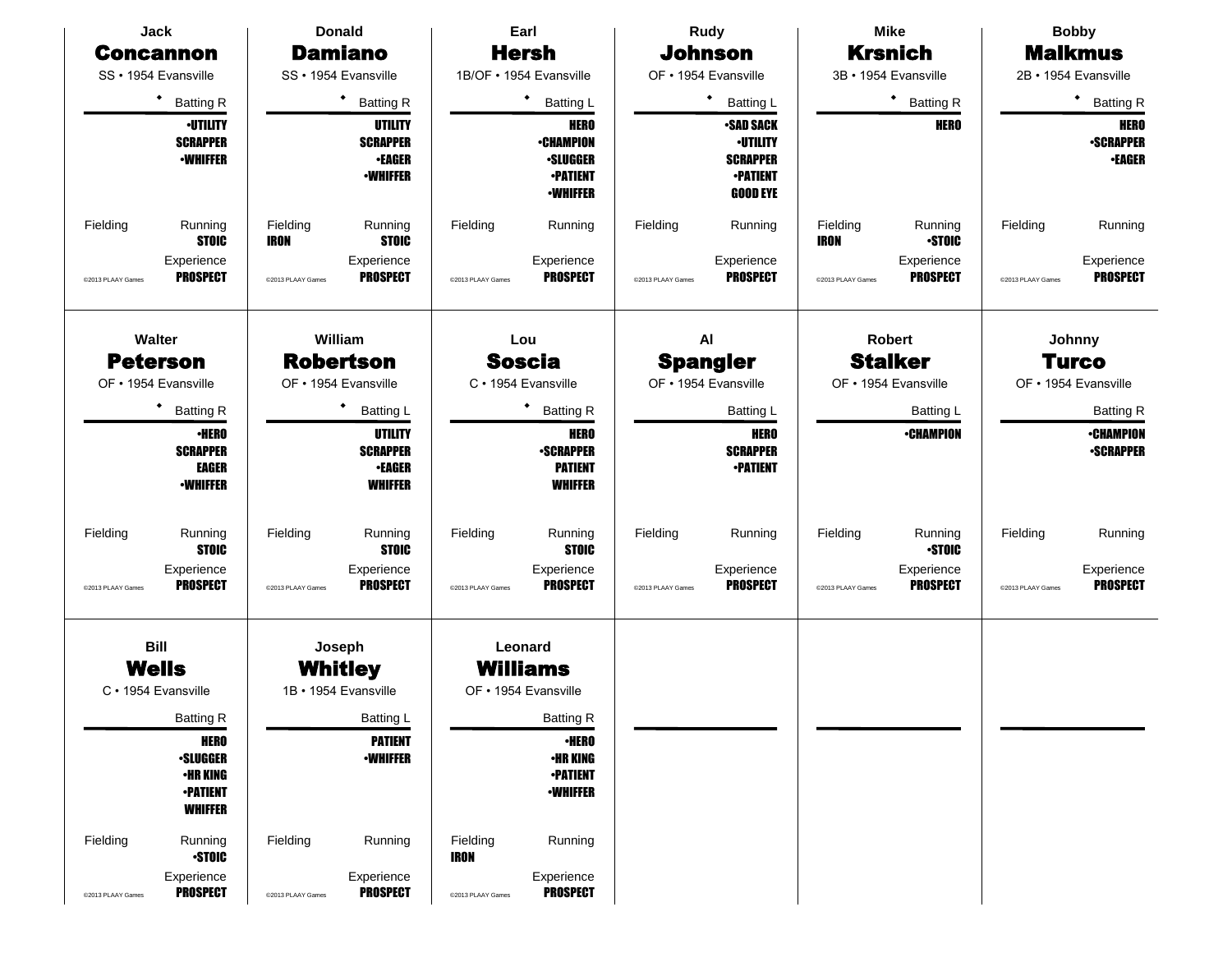| Jack              |                                                                                        |                         | <b>Donald</b>                                                  |                         | Earl                                                                                     |                   | <b>Rudy</b>                                                                                  | <b>Mike</b><br><b>Bobby</b> |                                 |                   |                                                  |
|-------------------|----------------------------------------------------------------------------------------|-------------------------|----------------------------------------------------------------|-------------------------|------------------------------------------------------------------------------------------|-------------------|----------------------------------------------------------------------------------------------|-----------------------------|---------------------------------|-------------------|--------------------------------------------------|
|                   | <b>Concannon</b>                                                                       |                         | <b>Damiano</b>                                                 |                         | <b>Hersh</b>                                                                             |                   | <b>Johnson</b>                                                                               |                             | <b>Krsnich</b>                  |                   | <b>Malkmus</b>                                   |
|                   | SS · 1954 Evansville                                                                   |                         | SS · 1954 Evansville                                           |                         | 1B/OF · 1954 Evansville                                                                  |                   | OF • 1954 Evansville                                                                         |                             | 3B · 1954 Evansville            |                   | 2B · 1954 Evansville                             |
|                   | $\bullet$<br><b>Batting R</b>                                                          |                         | <b>Batting R</b>                                               |                         | ٠<br><b>Batting L</b>                                                                    | Batting L         |                                                                                              |                             | * Batting R                     |                   | ٠<br><b>Batting R</b>                            |
|                   | <b>·UTILITY</b><br><b>SCRAPPER</b><br><b>-WHIFFER</b>                                  |                         | UTILITY<br><b>SCRAPPER</b><br><b>•EAGER</b><br><b>•WHIFFER</b> |                         | <b>HERO</b><br><b>•CHAMPION</b><br><b>·SLUGGER</b><br><b>•PATIENT</b><br><b>•WHIFFER</b> |                   | <b>•SAD SACK</b><br><b>-UTILITY</b><br><b>SCRAPPER</b><br><b>•PATIENT</b><br><b>GOOD EYE</b> |                             | <b>HERO</b>                     |                   | <b>HERO</b><br><b>-SCRAPPER</b><br><b>•EAGER</b> |
| Fielding          | Running<br><b>STOIC</b>                                                                | Fielding<br><b>IRON</b> | Running<br><b>STOIC</b>                                        | Fielding                | Running                                                                                  | Fielding          | Running                                                                                      | Fielding<br><b>IRON</b>     | Running<br><b>-STOIC</b>        | Fielding          | Running                                          |
| @2013 PLAAY Games | Experience<br><b>PROSPECT</b>                                                          | @2013 PLAAY Games       | Experience<br><b>PROSPECT</b>                                  | @2013 PLAAY Games       | Experience<br><b>PROSPECT</b>                                                            | @2013 PLAAY Games | Experience<br><b>PROSPECT</b>                                                                | @2013 PLAAY Games           | Experience<br><b>PROSPECT</b>   | @2013 PLAAY Games | Experience<br><b>PROSPECT</b>                    |
|                   | Walter<br><b>Peterson</b>                                                              |                         | William<br><b>Robertson</b>                                    |                         | Lou<br><b>Soscia</b>                                                                     |                   | AI<br><b>Spangler</b>                                                                        |                             | <b>Robert</b><br><b>Stalker</b> |                   | Johnny<br><b>Turco</b>                           |
|                   | OF • 1954 Evansville                                                                   |                         | OF • 1954 Evansville                                           |                         | C · 1954 Evansville                                                                      |                   | OF • 1954 Evansville                                                                         |                             | OF • 1954 Evansville            |                   | OF • 1954 Evansville                             |
|                   | ٠<br><b>Batting R</b>                                                                  |                         | <b>Batting L</b>                                               |                         | ٠<br><b>Batting R</b>                                                                    |                   | <b>Batting L</b>                                                                             |                             | <b>Batting L</b>                |                   | <b>Batting R</b>                                 |
|                   | <b>•HERO</b><br><b>SCRAPPER</b><br>EAGER<br><b>•WHIFFER</b>                            |                         | UTILITY<br><b>SCRAPPER</b><br><b>•EAGER</b><br><b>WHIFFER</b>  |                         | <b>HERO</b><br><b>-SCRAPPER</b><br><b>PATIENT</b><br><b>WHIFFER</b>                      |                   | <b>HERO</b><br><b>SCRAPPER</b><br><b>•PATIENT</b>                                            |                             | <b>•CHAMPION</b>                |                   | <b>•CHAMPION</b><br><b>-SCRAPPER</b>             |
| Fielding          | Running<br><b>STOIC</b>                                                                | Fielding                | Running<br><b>STOIC</b>                                        | Fielding                | Running<br><b>STOIC</b>                                                                  | Fielding          | Running                                                                                      | Fielding                    | Running<br><b>-STOIC</b>        | Fielding          | Running                                          |
| @2013 PLAAY Games | Experience<br><b>PROSPECT</b>                                                          | @2013 PLAAY Games       | Experience<br><b>PROSPECT</b>                                  | @2013 PLAAY Games       | Experience<br><b>PROSPECT</b>                                                            | @2013 PLAAY Games | Experience<br><b>PROSPECT</b>                                                                | @2013 PLAAY Games           | Experience<br><b>PROSPECT</b>   | @2013 PLAAY Games | Experience<br><b>PROSPECT</b>                    |
|                   | <b>Bill</b><br><b>Wells</b><br>C · 1954 Evansville                                     |                         | Joseph<br><b>Whitley</b><br>1B · 1954 Evansville               |                         | Leonard<br><b>Williams</b><br>OF • 1954 Evansville                                       |                   |                                                                                              |                             |                                 |                   |                                                  |
|                   | <b>Batting R</b>                                                                       |                         | Batting L                                                      |                         | <b>Batting R</b>                                                                         |                   |                                                                                              |                             |                                 |                   |                                                  |
|                   | <b>HERO</b><br><b>·SLUGGER</b><br><b>•HR KING</b><br><b>•PATIENT</b><br><b>WHIFFER</b> |                         | <b>PATIENT</b><br><b>-WHIFFER</b>                              |                         | <b>•HERO</b><br><b>•HR KING</b><br><b>•PATIENT</b><br><b>-WHIFFER</b>                    |                   |                                                                                              |                             |                                 |                   |                                                  |
| Fielding          | Running<br><b>STOIC</b>                                                                | Fielding                | Running                                                        | Fielding<br><b>IRON</b> | Running                                                                                  |                   |                                                                                              |                             |                                 |                   |                                                  |
| @2013 PLAAY Games | Experience<br><b>PROSPECT</b>                                                          | @2013 PLAAY Games       | Experience<br><b>PROSPECT</b>                                  | @2013 PLAAY Games       | Experience<br><b>PROSPECT</b>                                                            |                   |                                                                                              |                             |                                 |                   |                                                  |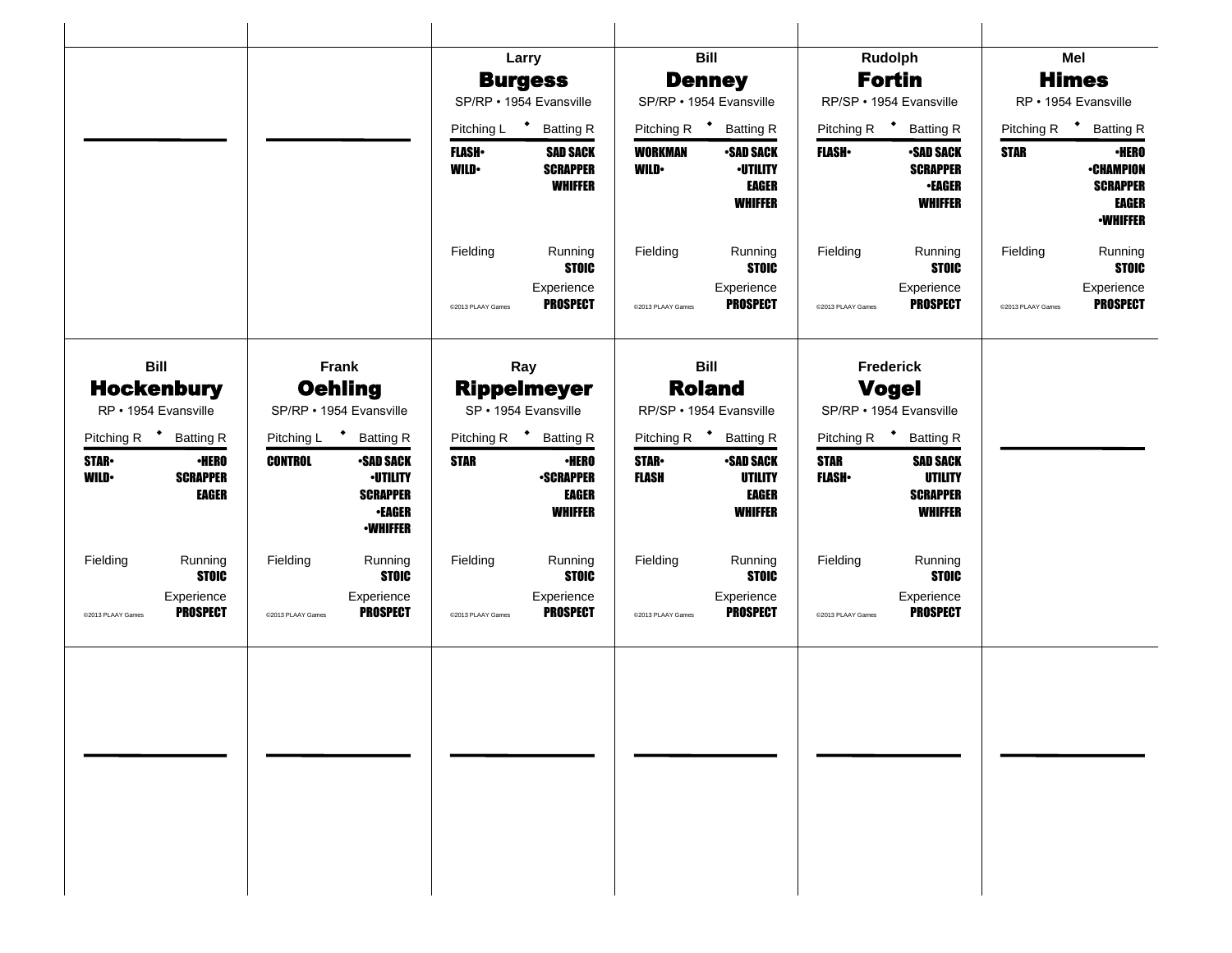|                                                                                 |                                                                                                              | Larry                                                                                 | <b>Bill</b>                                                                                           | Rudolph                                                                                          | Mel                                                                                            |
|---------------------------------------------------------------------------------|--------------------------------------------------------------------------------------------------------------|---------------------------------------------------------------------------------------|-------------------------------------------------------------------------------------------------------|--------------------------------------------------------------------------------------------------|------------------------------------------------------------------------------------------------|
|                                                                                 |                                                                                                              | <b>Burgess</b>                                                                        | <b>Denney</b>                                                                                         | <b>Fortin</b>                                                                                    | <b>Himes</b>                                                                                   |
|                                                                                 |                                                                                                              | SP/RP · 1954 Evansville                                                               | SP/RP · 1954 Evansville                                                                               | RP/SP · 1954 Evansville                                                                          | RP · 1954 Evansville                                                                           |
|                                                                                 |                                                                                                              | Pitching L <sup>+</sup> Batting R                                                     | Pitching R <sup>+</sup> Batting R                                                                     | Pitching R <sup>+</sup><br><b>Batting R</b>                                                      | Pitching R <b>*</b> Batting R                                                                  |
|                                                                                 |                                                                                                              | <b>SAD SACK</b><br><b>FLASH</b> •<br><b>WILD</b><br><b>SCRAPPER</b><br><b>WHIFFER</b> | <b>WORKMAN</b><br><b>SAD SACK</b><br><b>-UTILITY</b><br><b>WILD</b><br><b>EAGER</b><br><b>WHIFFER</b> | <b>FLASH</b><br><b>-SAD SACK</b><br><b>SCRAPPER</b><br><b>•EAGER</b><br><b>WHIFFER</b>           | <b>·HERO</b><br><b>STAR</b><br><b>-CHAMPION</b><br><b>SCRAPPER</b><br>EAGER<br><b>•WHIFFER</b> |
|                                                                                 |                                                                                                              | Fielding<br>Running<br><b>STOIC</b>                                                   | Fielding<br>Running<br><b>STOIC</b>                                                                   | Fielding<br>Running<br><b>STOIC</b>                                                              | Running<br>Fielding<br><b>STOIC</b>                                                            |
|                                                                                 |                                                                                                              | Experience<br><b>PROSPECT</b><br>@2013 PLAAY Games                                    | Experience<br><b>PROSPECT</b><br>@2013 PLAAY Games                                                    | Experience<br><b>PROSPECT</b><br>@2013 PLAAY Games                                               | Experience<br><b>PROSPECT</b><br>@2013 PLAAY Games                                             |
| <b>Bill</b>                                                                     | Frank                                                                                                        | Ray                                                                                   | <b>Bill</b>                                                                                           | <b>Frederick</b>                                                                                 |                                                                                                |
| <b>Hockenbury</b><br>RP · 1954 Evansville                                       | <b>Oehling</b><br>SP/RP · 1954 Evansville                                                                    | <b>Rippelmeyer</b><br>SP · 1954 Evansville                                            | <b>Roland</b><br>RP/SP · 1954 Evansville                                                              | <b>Vogel</b><br>SP/RP • 1954 Evansville                                                          |                                                                                                |
| Pitching R <sup>+</sup> Batting R                                               | Pitching L <sup>+</sup><br><b>Batting R</b>                                                                  | Pitching R <sup>+</sup> Batting R                                                     | Pitching R <sup>+</sup> Batting R                                                                     | Pitching R <sup>+</sup> Batting R                                                                |                                                                                                |
| <b>STAR-</b><br><b>•HERO</b><br><b>WILD•</b><br><b>SCRAPPER</b><br><b>EAGER</b> | <b>CONTROL</b><br><b>•SAD SACK</b><br><b>·UTILITY</b><br><b>SCRAPPER</b><br><b>•EAGER</b><br><b>-WHIFFER</b> | <b>STAR</b><br><b>•HERO</b><br><b>-SCRAPPER</b><br><b>EAGER</b><br><b>WHIFFER</b>     | <b>STAR</b><br><b>SAD SACK</b><br><b>FLASH</b><br><b>UTILITY</b><br><b>EAGER</b><br><b>WHIFFER</b>    | <b>STAR</b><br><b>SAD SACK</b><br><b>FLASH</b> •<br>UTILITY<br><b>SCRAPPER</b><br><b>WHIFFER</b> |                                                                                                |
| Fielding<br>Running<br><b>STOIC</b>                                             | Fielding<br>Running<br><b>STOIC</b>                                                                          | Fielding<br>Running<br><b>STOIC</b>                                                   | Fielding<br>Running<br><b>STOIC</b>                                                                   | Fielding<br>Running<br><b>STOIC</b>                                                              |                                                                                                |
| Experience<br><b>PROSPECT</b><br>@2013 PLAAY Games                              | Experience<br><b>PROSPECT</b><br>@2013 PLAAY Games                                                           | Experience<br><b>PROSPECT</b><br>@2013 PLAAY Games                                    | Experience<br><b>PROSPECT</b><br>@2013 PLAAY Games                                                    | Experience<br><b>PROSPECT</b><br>@2013 PLAAY Games                                               |                                                                                                |
|                                                                                 |                                                                                                              |                                                                                       |                                                                                                       |                                                                                                  |                                                                                                |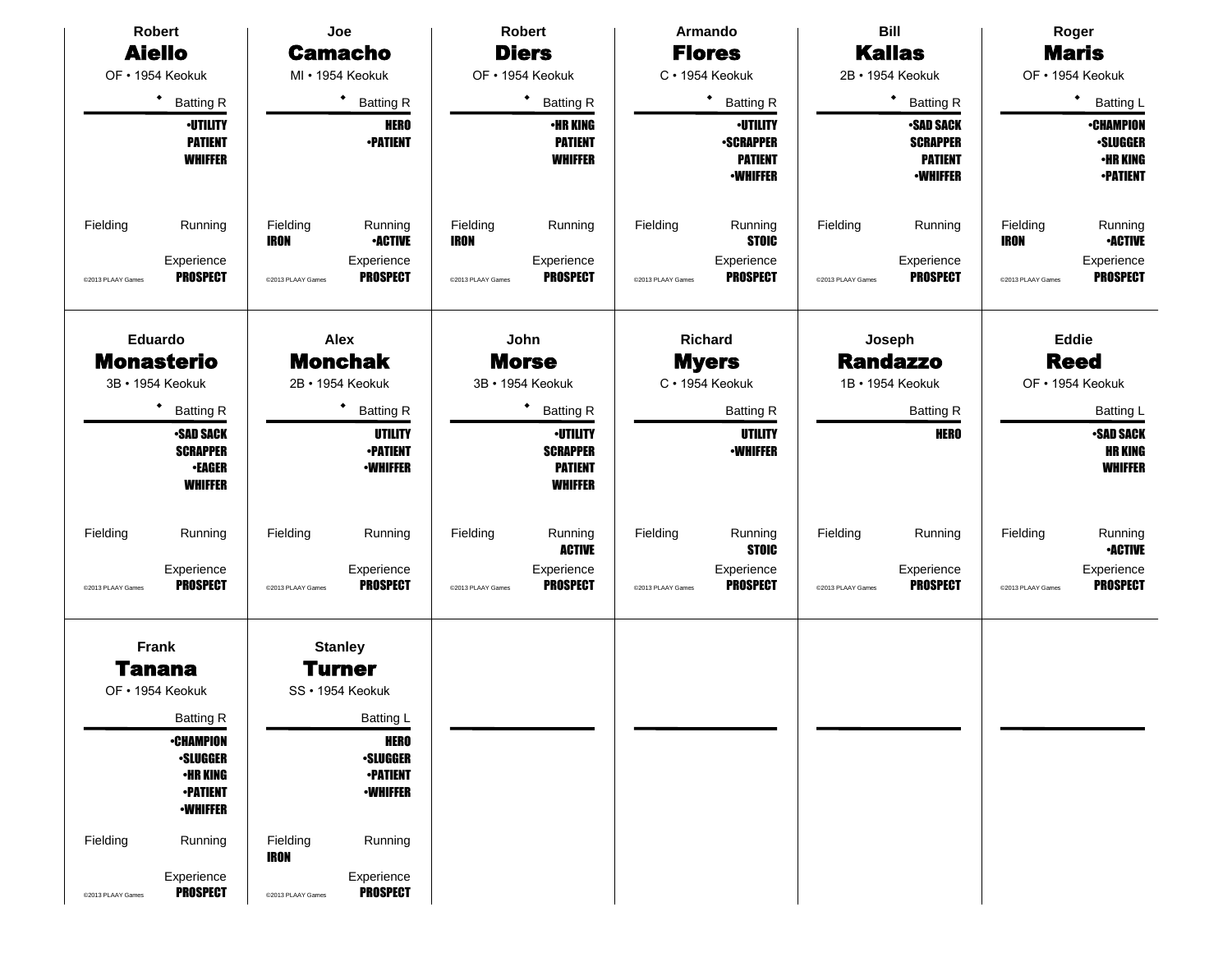| <b>Robert</b>                                                                                | Joe                                                                                      | <b>Robert</b>                                                                              | Armando                                                                                   | <b>Bill</b>                                                               | Roger                                                                                       |  |  |
|----------------------------------------------------------------------------------------------|------------------------------------------------------------------------------------------|--------------------------------------------------------------------------------------------|-------------------------------------------------------------------------------------------|---------------------------------------------------------------------------|---------------------------------------------------------------------------------------------|--|--|
| <b>Aiello</b>                                                                                | <b>Camacho</b>                                                                           | <b>Diers</b>                                                                               | <b>Flores</b>                                                                             | <b>Kallas</b>                                                             | <b>Maris</b>                                                                                |  |  |
| OF · 1954 Keokuk                                                                             | MI · 1954 Keokuk                                                                         | OF · 1954 Keokuk                                                                           | C · 1954 Keokuk                                                                           | 2B · 1954 Keokuk                                                          | OF • 1954 Keokuk                                                                            |  |  |
| $\bullet$<br><b>Batting R</b>                                                                | $\bullet$<br><b>Batting R</b>                                                            | ٠<br><b>Batting R</b>                                                                      | ٠<br><b>Batting R</b>                                                                     | ٠<br><b>Batting R</b>                                                     | ٠<br><b>Batting L</b>                                                                       |  |  |
| <b>-UTILITY</b><br><b>PATIENT</b><br><b>WHIFFER</b>                                          | <b>HERO</b><br><b>•PATIENT</b>                                                           | <b>•HR KING</b><br><b>PATIENT</b><br><b>WHIFFER</b>                                        | <b>·UTILITY</b><br><b>-SCRAPPER</b><br><b>PATIENT</b><br><b>-WHIFFER</b>                  | <b>-SAD SACK</b><br><b>SCRAPPER</b><br><b>PATIENT</b><br><b>-WHIFFER</b>  | <b>•CHAMPION</b><br><b>-SLUGGER</b><br><b>•HR KING</b><br><b>-PATIENT</b>                   |  |  |
| Fielding<br>Running<br>Experience                                                            | Fielding<br>Running<br><b>-ACTIVE</b><br><b>IRON</b><br>Experience                       | Fielding<br>Running<br><b>IRON</b><br>Experience                                           | Fielding<br>Running<br><b>STOIC</b><br>Experience                                         | Fielding<br>Running<br>Experience                                         | Running<br>Fielding<br><b>•ACTIVE</b><br><b>IRON</b><br>Experience                          |  |  |
| <b>PROSPECT</b><br>@2013 PLAAY Games                                                         | <b>PROSPECT</b><br>@2013 PLAAY Games                                                     | <b>PROSPECT</b><br>@2013 PLAAY Games                                                       | <b>PROSPECT</b><br>@2013 PLAAY Games                                                      | <b>PROSPECT</b><br>@2013 PLAAY Games                                      | <b>PROSPECT</b><br>@2013 PLAAY Games                                                        |  |  |
| <b>Eduardo</b><br><b>Monasterio</b><br>3B · 1954 Keokuk                                      | <b>Alex</b><br><b>Monchak</b><br>2B · 1954 Keokuk                                        | John<br><b>Morse</b><br>3B · 1954 Keokuk                                                   | Richard<br><b>Myers</b><br>C · 1954 Keokuk                                                | Joseph<br><b>Randazzo</b><br>1B · 1954 Keokuk                             | <b>Eddie</b><br><b>Reed</b><br>OF · 1954 Keokuk                                             |  |  |
| ٠                                                                                            | ٠                                                                                        | ٠                                                                                          |                                                                                           |                                                                           |                                                                                             |  |  |
| <b>Batting R</b><br><b>-SAD SACK</b><br><b>SCRAPPER</b><br><b>•EAGER</b><br><b>WHIFFER</b>   | <b>Batting R</b><br><b>UTILITY</b><br><b>-PATIENT</b><br><b>-WHIFFER</b>                 | <b>Batting R</b><br><b>-UTILITY</b><br><b>SCRAPPER</b><br><b>PATIENT</b><br><b>WHIFFER</b> | <b>Batting R</b><br><b>UTILITY</b><br><b>•WHIFFER</b>                                     | <b>Batting R</b><br><b>HERO</b>                                           | Batting L<br><b>•SAD SACK</b><br><b>HR KING</b><br><b>WHIFFER</b>                           |  |  |
| Fielding<br>Running<br>Experience<br><b>PROSPECT</b><br>@2013 PLAAY Games                    | Running<br>Fielding<br>Experience<br><b>PROSPECT</b><br>@2013 PLAAY Games                | Fielding<br>Running<br><b>ACTIVE</b><br>Experience<br><b>PROSPECT</b><br>@2013 PLAAY Games | Fielding<br>Running<br><b>STOIC</b><br>Experience<br><b>PROSPECT</b><br>@2013 PLAAY Games | Fielding<br>Running<br>Experience<br><b>PROSPECT</b><br>@2013 PLAAY Games | Fielding<br>Running<br><b>•ACTIVE</b><br>Experience<br><b>PROSPECT</b><br>@2013 PLAAY Games |  |  |
|                                                                                              |                                                                                          |                                                                                            |                                                                                           |                                                                           |                                                                                             |  |  |
| Frank<br><b>Tanana</b>                                                                       | <b>Stanley</b><br>Turner                                                                 |                                                                                            |                                                                                           |                                                                           |                                                                                             |  |  |
| OF · 1954 Keokuk                                                                             | SS · 1954 Keokuk                                                                         |                                                                                            |                                                                                           |                                                                           |                                                                                             |  |  |
| <b>Batting R</b>                                                                             | Batting L                                                                                |                                                                                            |                                                                                           |                                                                           |                                                                                             |  |  |
| <b>-CHAMPION</b><br><b>·SLUGGER</b><br><b>•HR KING</b><br><b>•PATIENT</b><br><b>-WHIFFER</b> | <b>HERO</b><br><b>·SLUGGER</b><br><b>•PATIENT</b><br><b>-WHIFFER</b>                     |                                                                                            |                                                                                           |                                                                           |                                                                                             |  |  |
| Fielding<br>Running<br>Experience<br><b>PROSPECT</b><br>@2013 PLAAY Games                    | Fielding<br>Running<br><b>IRON</b><br>Experience<br><b>PROSPECT</b><br>@2013 PLAAY Games |                                                                                            |                                                                                           |                                                                           |                                                                                             |  |  |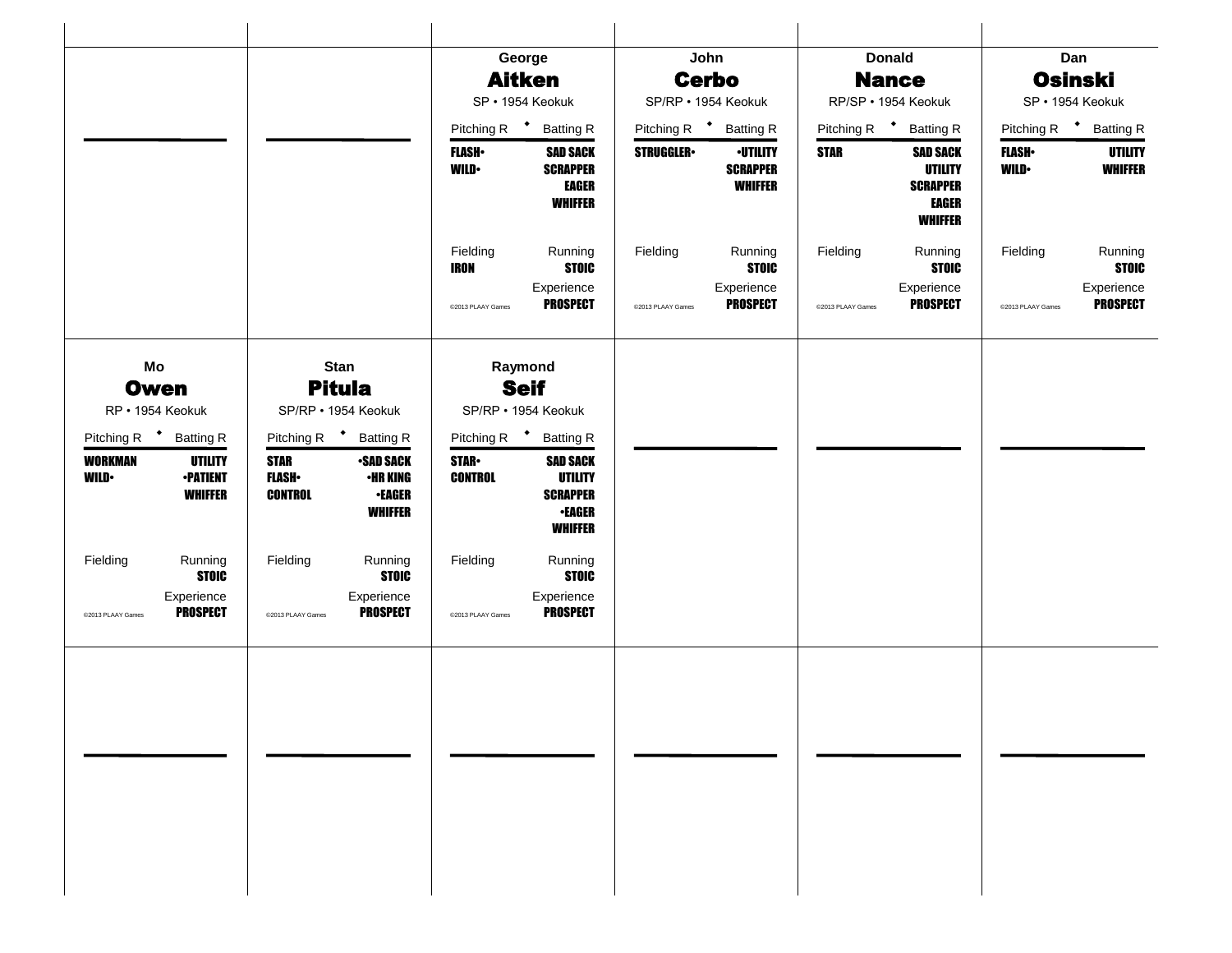|                                                                                      |                                                                                                                         | George                                                                                                                   | John                                                                     | <b>Donald</b>                                                                                         | Dan                                                        |  |
|--------------------------------------------------------------------------------------|-------------------------------------------------------------------------------------------------------------------------|--------------------------------------------------------------------------------------------------------------------------|--------------------------------------------------------------------------|-------------------------------------------------------------------------------------------------------|------------------------------------------------------------|--|
|                                                                                      |                                                                                                                         | <b>Aitken</b>                                                                                                            | <b>Cerbo</b>                                                             | <b>Nance</b>                                                                                          | <b>Osinski</b>                                             |  |
|                                                                                      |                                                                                                                         | SP · 1954 Keokuk                                                                                                         | SP/RP · 1954 Keokuk                                                      | RP/SP · 1954 Keokuk                                                                                   | SP · 1954 Keokuk                                           |  |
|                                                                                      |                                                                                                                         | Pitching R <sup>+</sup> Batting R                                                                                        | Pitching R <sup>+</sup><br><b>Batting R</b>                              | Pitching R <sup>+</sup><br><b>Batting R</b>                                                           | Pitching R <sup>+</sup><br><b>Batting R</b>                |  |
|                                                                                      |                                                                                                                         | <b>SAD SACK</b><br><b>FLASH</b> •<br><b>WILD</b><br><b>SCRAPPER</b><br><b>EAGER</b><br><b>WHIFFER</b>                    | <b>STRUGGLER</b><br><b>-UTILITY</b><br><b>SCRAPPER</b><br><b>WHIFFER</b> | <b>STAR</b><br><b>SAD SACK</b><br><b>UTILITY</b><br><b>SCRAPPER</b><br><b>EAGER</b><br><b>WHIFFER</b> | <b>FLASH</b> •<br>UTILITY<br><b>WHIFFER</b><br><b>WILD</b> |  |
|                                                                                      |                                                                                                                         | Fielding<br>Running<br><b>STOIC</b><br><b>IRON</b>                                                                       | Running<br>Fielding<br><b>STOIC</b>                                      | Fielding<br>Running<br><b>STOIC</b>                                                                   | Running<br>Fielding<br><b>STOIC</b>                        |  |
|                                                                                      |                                                                                                                         | Experience<br><b>PROSPECT</b><br>@2013 PLAAY Games                                                                       | Experience<br><b>PROSPECT</b><br>@2013 PLAAY Games                       | Experience<br><b>PROSPECT</b><br>@2013 PLAAY Games                                                    | Experience<br><b>PROSPECT</b><br>@2013 PLAAY Games         |  |
| Mo<br><b>Owen</b><br>RP · 1954 Keokuk                                                | <b>Stan</b><br><b>Pitula</b><br>SP/RP · 1954 Keokuk                                                                     | Raymond<br><b>Seif</b><br>SP/RP · 1954 Keokuk                                                                            |                                                                          |                                                                                                       |                                                            |  |
| Pitching R <sup>+</sup> Batting R                                                    | Pitching R <sup>+</sup><br><b>Batting R</b>                                                                             | Pitching R + Batting R                                                                                                   |                                                                          |                                                                                                       |                                                            |  |
| <b>WORKMAN</b><br><b>UTILITY</b><br><b>WILD</b><br><b>•PATIENT</b><br><b>WHIFFER</b> | <b>STAR</b><br><b>•SAD SACK</b><br><b>FLASH</b><br><b>•HR KING</b><br><b>CONTROL</b><br><b>-EAGER</b><br><b>WHIFFER</b> | <b>STAR</b><br><b>SAD SACK</b><br><b>UTILITY</b><br><b>CONTROL</b><br><b>SCRAPPER</b><br><b>-EAGER</b><br><b>WHIFFER</b> |                                                                          |                                                                                                       |                                                            |  |
| Fielding<br>Running<br><b>STOIC</b>                                                  | Fielding<br>Running<br><b>STOIC</b>                                                                                     | Fielding<br>Running<br><b>STOIC</b>                                                                                      |                                                                          |                                                                                                       |                                                            |  |
| Experience<br><b>PROSPECT</b><br>@2013 PLAAY Games                                   | Experience<br><b>PROSPECT</b><br>@2013 PLAAY Games                                                                      | Experience<br><b>PROSPECT</b><br>@2013 PLAAY Games                                                                       |                                                                          |                                                                                                       |                                                            |  |
|                                                                                      |                                                                                                                         |                                                                                                                          |                                                                          |                                                                                                       |                                                            |  |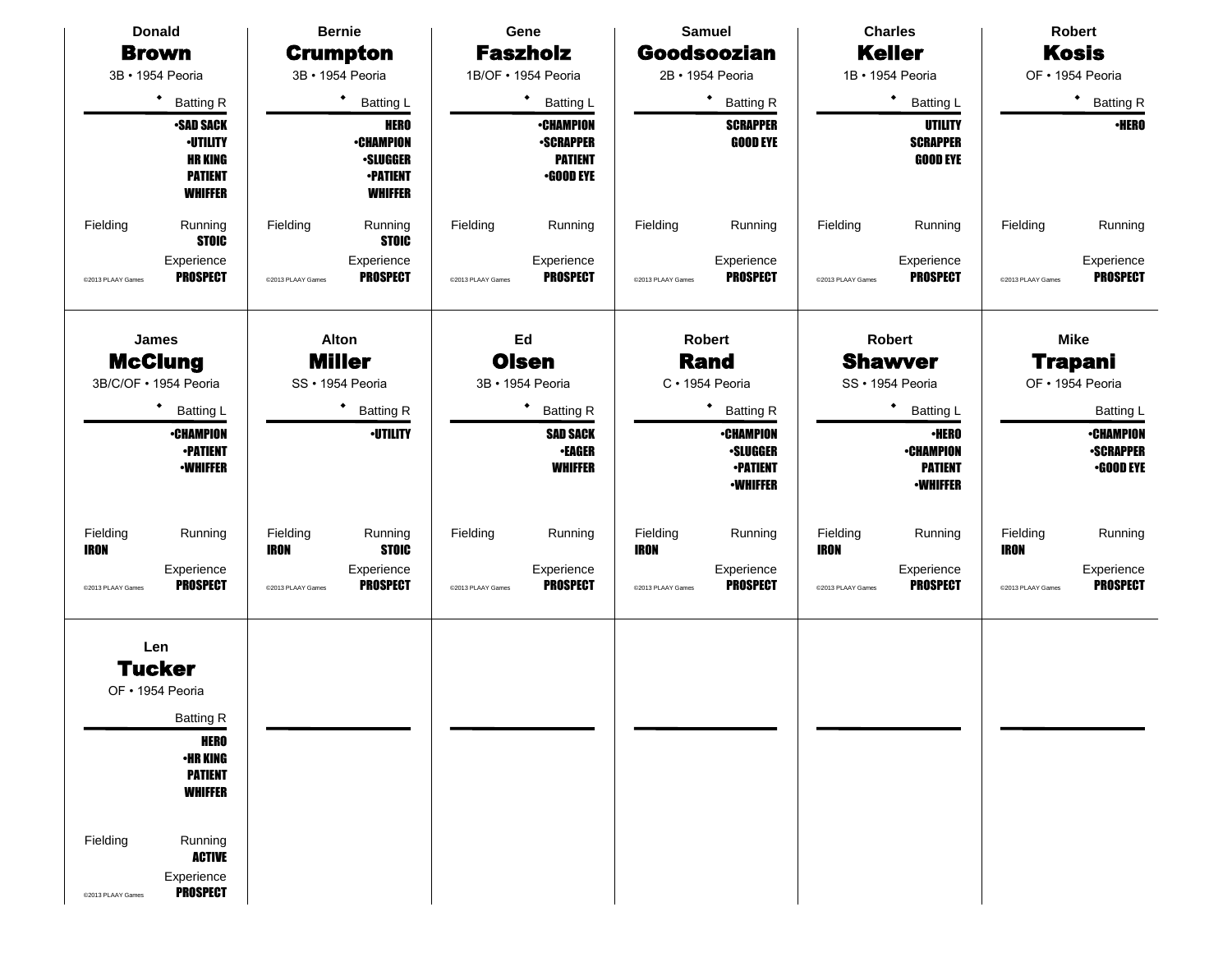| <b>Donald</b>                                                                                                                                                                                                                    | <b>Bernie</b>                                                                                     | Gene                                                                        | <b>Samuel</b>                                                                                 | <b>Charles</b>                                                                                 | <b>Robert</b>                                                                     |
|----------------------------------------------------------------------------------------------------------------------------------------------------------------------------------------------------------------------------------|---------------------------------------------------------------------------------------------------|-----------------------------------------------------------------------------|-----------------------------------------------------------------------------------------------|------------------------------------------------------------------------------------------------|-----------------------------------------------------------------------------------|
| <b>Brown</b>                                                                                                                                                                                                                     | <b>Crumpton</b>                                                                                   | <b>Faszholz</b>                                                             | <b>Goodsoozian</b>                                                                            | <b>Keller</b>                                                                                  | <b>Kosis</b>                                                                      |
| 3B · 1954 Peoria                                                                                                                                                                                                                 | 3B · 1954 Peoria                                                                                  | 1B/OF · 1954 Peoria                                                         | 2B · 1954 Peoria                                                                              | 1B · 1954 Peoria                                                                               | OF · 1954 Peoria                                                                  |
| ٠<br><b>Batting R</b>                                                                                                                                                                                                            | ٠<br><b>Batting L</b>                                                                             | ٠<br><b>Batting L</b>                                                       | ٠<br><b>Batting R</b>                                                                         | $\bullet$<br><b>Batting L</b>                                                                  | ٠<br><b>Batting R</b>                                                             |
| <b>-SAD SACK</b><br><b>-UTILITY</b><br><b>HR KING</b><br><b>PATIENT</b><br><b>WHIFFER</b>                                                                                                                                        | <b>HERO</b><br><b>-CHAMPION</b><br><b>·SLUGGER</b><br><b>-PATIENT</b><br><b>WHIFFER</b>           | <b>•CHAMPION</b><br><b>-SCRAPPER</b><br><b>PATIENT</b><br><b>•GOOD EYE</b>  | <b>SCRAPPER</b><br><b>GOOD EYE</b>                                                            | <b>UTILITY</b><br><b>SCRAPPER</b><br><b>GOOD EYE</b>                                           | <b>·HERO</b>                                                                      |
| Fielding<br>Running<br><b>STOIC</b>                                                                                                                                                                                              | Fielding<br>Running<br><b>STOIC</b>                                                               | Fielding<br>Running                                                         | Fielding<br>Running                                                                           | Fielding<br>Running                                                                            | Fielding<br>Running                                                               |
| Experience<br><b>PROSPECT</b><br>@2013 PLAAY Games                                                                                                                                                                               | Experience<br><b>PROSPECT</b><br>@2013 PLAAY Games                                                | Experience<br><b>PROSPECT</b><br>@2013 PLAAY Games                          | Experience<br><b>PROSPECT</b><br>@2013 PLAAY Games                                            | Experience<br><b>PROSPECT</b><br>@2013 PLAAY Games                                             | Experience<br><b>PROSPECT</b><br>@2013 PLAAY Games                                |
| James<br><b>McClung</b><br>3B/C/OF · 1954 Peoria                                                                                                                                                                                 | <b>Alton</b><br><b>Miller</b><br>SS · 1954 Peoria                                                 | Ed<br><b>Olsen</b><br>3B · 1954 Peoria                                      | <b>Robert</b><br><b>Rand</b><br>C · 1954 Peoria                                               | <b>Robert</b><br><b>Shawver</b><br>SS · 1954 Peoria                                            | <b>Mike</b><br><b>Trapani</b><br>OF · 1954 Peoria                                 |
| $\bullet$<br>Batting L<br><b>•CHAMPION</b><br><b>•PATIENT</b><br><b>-WHIFFER</b>                                                                                                                                                 | ٠<br><b>Batting R</b><br><b>·UTILITY</b>                                                          | ٠<br><b>Batting R</b><br><b>SAD SACK</b><br><b>•EAGER</b><br><b>WHIFFER</b> | <b>Batting R</b><br><b>•CHAMPION</b><br><b>•SLUGGER</b><br><b>•PATIENT</b><br><b>-WHIFFER</b> | ٠<br><b>Batting L</b><br><b>-HERO</b><br><b>•CHAMPION</b><br><b>PATIENT</b><br><b>•WHIFFER</b> | Batting L<br><b>•CHAMPION</b><br><b>-SCRAPPER</b><br>$-$ GOOD EYE                 |
| Fielding<br>Running<br><b>IRON</b><br>Experience<br><b>PROSPECT</b><br>@2013 PLAAY Games                                                                                                                                         | Fielding<br>Running<br><b>STOIC</b><br>IRON<br>Experience<br><b>PROSPECT</b><br>@2013 PLAAY Games | Fielding<br>Running<br>Experience<br><b>PROSPECT</b><br>@2013 PLAAY Games   | Fielding<br>Running<br><b>IRON</b><br>Experience<br><b>PROSPECT</b><br>@2013 PLAAY Games      | Fielding<br>Running<br><b>IRON</b><br>Experience<br><b>PROSPECT</b><br>@2013 PLAAY Games       | Fielding<br>Running<br>IRON<br>Experience<br><b>PROSPECT</b><br>@2013 PLAAY Games |
| Len<br><b>Tucker</b><br>OF · 1954 Peoria<br><b>Batting R</b><br><b>HERO</b><br><b>•HR KING</b><br><b>PATIENT</b><br><b>WHIFFER</b><br>Fielding<br>Running<br><b>ACTIVE</b><br>Experience<br><b>PROSPECT</b><br>@2013 PLAAY Games |                                                                                                   |                                                                             |                                                                                               |                                                                                                |                                                                                   |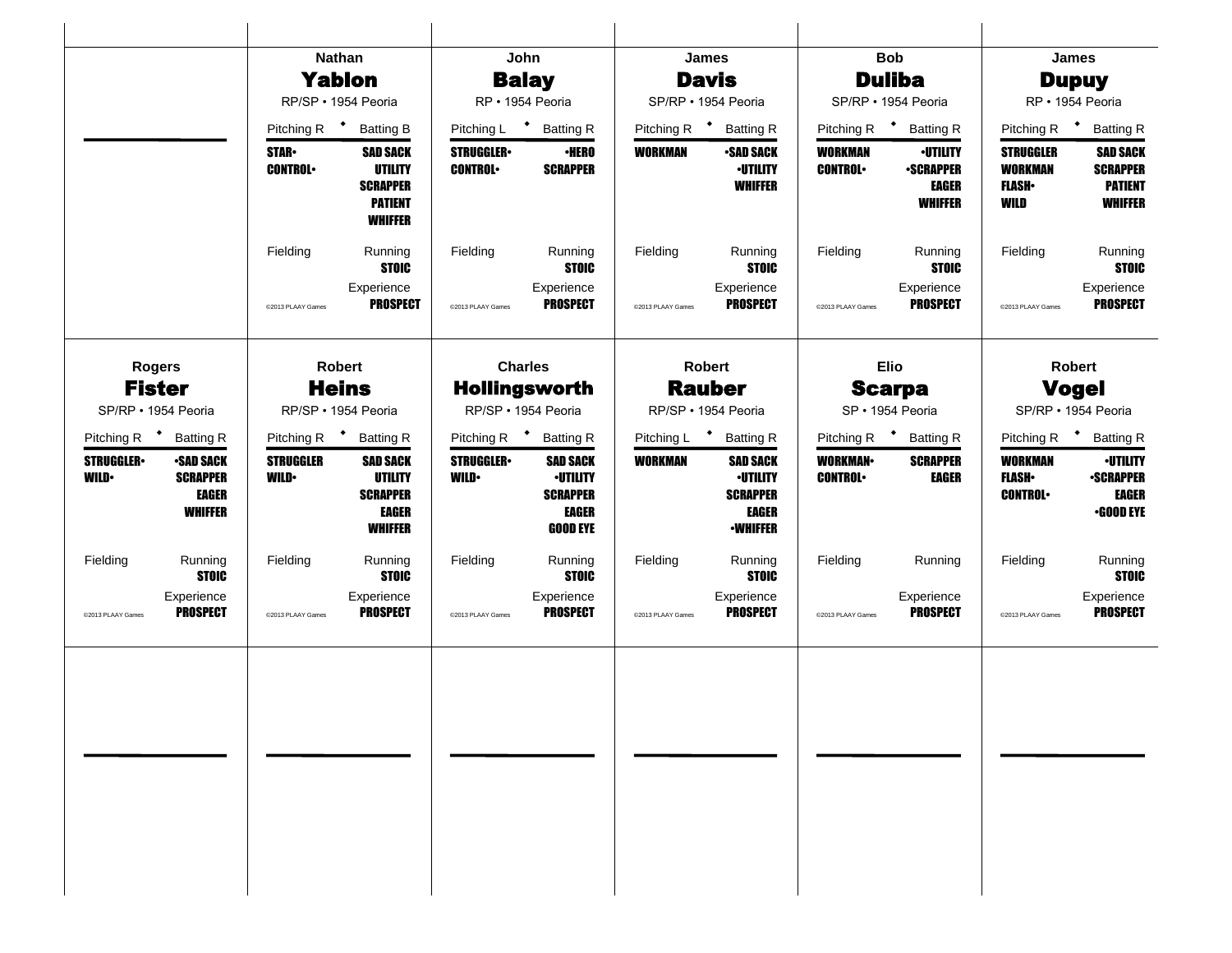|                                                                                                           | <b>Nathan</b>                                                                                                               | John                                                                                                                        | <b>James</b>                                                                                 | <b>Bob</b>                                                                                                | James                                                                                                                                  |
|-----------------------------------------------------------------------------------------------------------|-----------------------------------------------------------------------------------------------------------------------------|-----------------------------------------------------------------------------------------------------------------------------|----------------------------------------------------------------------------------------------|-----------------------------------------------------------------------------------------------------------|----------------------------------------------------------------------------------------------------------------------------------------|
|                                                                                                           | <b>Yablon</b>                                                                                                               | <b>Balay</b>                                                                                                                | <b>Davis</b>                                                                                 | <b>Duliba</b>                                                                                             | <b>Dupuy</b>                                                                                                                           |
|                                                                                                           | RP/SP · 1954 Peoria                                                                                                         | RP · 1954 Peoria                                                                                                            | SP/RP · 1954 Peoria                                                                          | SP/RP · 1954 Peoria                                                                                       | RP · 1954 Peoria                                                                                                                       |
|                                                                                                           | Pitching R <sup>+</sup><br><b>Batting B</b>                                                                                 | Pitching L + Batting R                                                                                                      | Pitching R <sup>+</sup><br><b>Batting R</b>                                                  | Pitching R <sup>+</sup><br><b>Batting R</b>                                                               | Pitching R <sup>+</sup><br><b>Batting R</b>                                                                                            |
|                                                                                                           | <b>STAR</b> •<br><b>SAD SACK</b><br><b>UTILITY</b><br><b>CONTROL</b><br><b>SCRAPPER</b><br><b>PATIENT</b><br><b>WHIFFER</b> | <b>STRUGGLER</b><br><b>·HERO</b><br><b>CONTROL</b><br><b>SCRAPPER</b>                                                       | WORKMAN<br><b>•SAD SACK</b><br><b>-UTILITY</b><br><b>WHIFFER</b>                             | <b>WORKMAN</b><br><b>·UTILITY</b><br><b>CONTROL</b><br><b>•SCRAPPER</b><br><b>EAGER</b><br><b>WHIFFER</b> | <b>SAD SACK</b><br><b>STRUGGLER</b><br><b>WORKMAN</b><br><b>SCRAPPER</b><br><b>PATIENT</b><br><b>FLASH</b> •<br><b>WHIFFER</b><br>WILD |
|                                                                                                           | Fielding<br>Running<br><b>STOIC</b>                                                                                         | Running<br>Fielding<br><b>STOIC</b>                                                                                         | Fielding<br>Running<br><b>STOIC</b>                                                          | Running<br>Fielding<br><b>STOIC</b>                                                                       | Fielding<br>Running<br><b>STOIC</b>                                                                                                    |
|                                                                                                           | Experience<br><b>PROSPECT</b><br>@2013 PLAAY Games                                                                          | Experience<br><b>PROSPECT</b><br>@2013 PLAAY Games                                                                          | Experience<br><b>PROSPECT</b><br>@2013 PLAAY Games                                           | Experience<br><b>PROSPECT</b><br>@2013 PLAAY Games                                                        | Experience<br><b>PROSPECT</b><br>@2013 PLAAY Games                                                                                     |
| <b>Rogers</b>                                                                                             | <b>Robert</b>                                                                                                               | <b>Charles</b>                                                                                                              | <b>Robert</b>                                                                                | <b>Elio</b>                                                                                               | Robert                                                                                                                                 |
|                                                                                                           | <b>Fister</b><br><b>Heins</b>                                                                                               |                                                                                                                             | <b>Rauber</b>                                                                                | <b>Scarpa</b>                                                                                             | <b>Vogel</b>                                                                                                                           |
| SP/RP · 1954 Peoria                                                                                       | RP/SP · 1954 Peoria                                                                                                         | RP/SP · 1954 Peoria                                                                                                         | RP/SP · 1954 Peoria                                                                          | SP · 1954 Peoria                                                                                          | SP/RP · 1954 Peoria                                                                                                                    |
| Pitching R <sup>+</sup> Batting R                                                                         | Pitching R <sup>+</sup> Batting R                                                                                           | Pitching R <sup>+</sup> Batting R                                                                                           | Pitching L <sup>+</sup> Batting R                                                            | Pitching R <sup>+</sup><br><b>Batting R</b>                                                               | Pitching R <sup>+</sup> Batting R                                                                                                      |
| <b>STRUGGLER</b><br><b>•SAD SACK</b><br><b>WILD•</b><br><b>SCRAPPER</b><br><b>EAGER</b><br><b>WHIFFER</b> | <b>STRUGGLER</b><br><b>SAD SACK</b><br><b>UTILITY</b><br><b>WILD</b><br><b>SCRAPPER</b><br><b>EAGER</b><br><b>WHIFFER</b>   | <b>STRUGGLER</b><br><b>SAD SACK</b><br><b>-UTILITY</b><br><b>WILD</b><br><b>SCRAPPER</b><br><b>EAGER</b><br><b>GOOD EYE</b> | WORKMAN<br><b>SAD SACK</b><br><b>•UTILITY</b><br><b>SCRAPPER</b><br>EAGER<br><b>•WHIFFER</b> | <b>WORKMAN</b><br><b>SCRAPPER</b><br><b>CONTROL</b><br><b>EAGER</b>                                       | <b>-UTILITY</b><br><b>WORKMAN</b><br><b>FLASH</b> •<br><b>•SCRAPPER</b><br><b>CONTROL</b><br><b>EAGER</b><br><b>•GOOD EYE</b>          |
| Fielding<br>Running<br><b>STOIC</b>                                                                       | Fielding<br>Running<br><b>STOIC</b>                                                                                         | Fielding<br>Running<br><b>STOIC</b>                                                                                         | Fielding<br>Running<br><b>STOIC</b>                                                          | Fielding<br>Running                                                                                       | Fielding<br>Running<br><b>STOIC</b>                                                                                                    |
| Experience<br><b>PROSPECT</b><br>@2013 PLAAY Games                                                        | Experience<br><b>PROSPECT</b><br>@2013 PLAAY Games                                                                          | Experience<br><b>PROSPECT</b><br>@2013 PLAAY Games                                                                          | Experience<br><b>PROSPECT</b><br>@2013 PLAAY Games                                           | Experience<br><b>PROSPECT</b><br>@2013 PLAAY Games                                                        | Experience<br><b>PROSPECT</b><br>@2013 PLAAY Games                                                                                     |
|                                                                                                           |                                                                                                                             |                                                                                                                             |                                                                                              |                                                                                                           |                                                                                                                                        |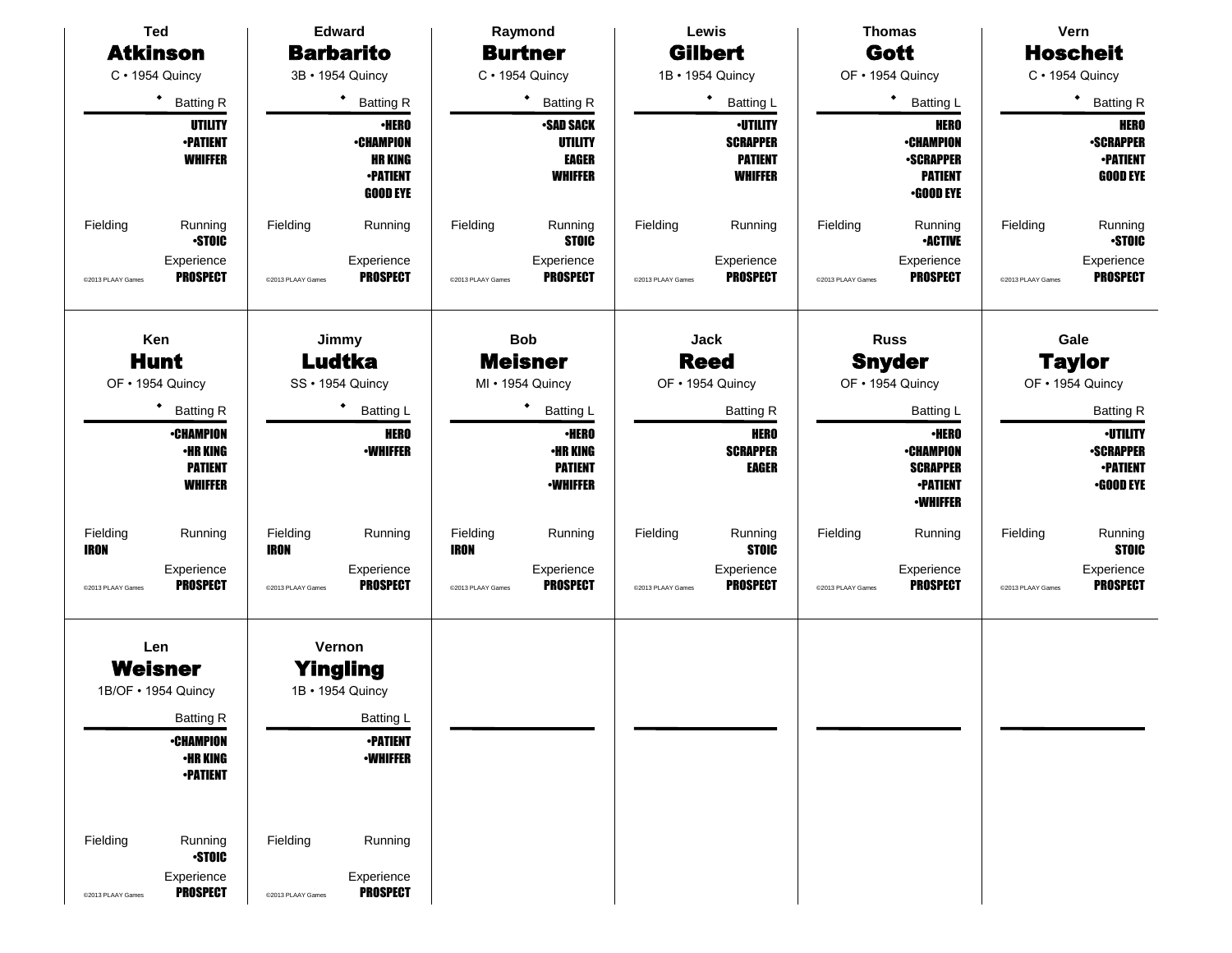| <b>Ted</b>                    |                                                                                       |                               | <b>Edward</b>                                                                                    |                         | Raymond                                                              |                   | Lewis                                                                  |                   | <b>Thomas</b>                                                                             |                   | Vern                                                                   |
|-------------------------------|---------------------------------------------------------------------------------------|-------------------------------|--------------------------------------------------------------------------------------------------|-------------------------|----------------------------------------------------------------------|-------------------|------------------------------------------------------------------------|-------------------|-------------------------------------------------------------------------------------------|-------------------|------------------------------------------------------------------------|
| <b>Atkinson</b>               |                                                                                       |                               | <b>Barbarito</b>                                                                                 |                         | <b>Burtner</b>                                                       |                   | <b>Gilbert</b>                                                         |                   | Gott                                                                                      |                   | <b>Hoscheit</b>                                                        |
| C · 1954 Quincy               |                                                                                       |                               | 3B · 1954 Quincy                                                                                 |                         | C · 1954 Quincy                                                      |                   | 1B · 1954 Quincy                                                       |                   | OF . 1954 Quincy                                                                          |                   | C · 1954 Quincy                                                        |
|                               | ٠<br><b>Batting R</b>                                                                 |                               | ٠<br><b>Batting R</b>                                                                            |                         | ٠<br><b>Batting R</b>                                                |                   | ٠<br><b>Batting L</b>                                                  |                   | $\bullet$<br><b>Batting L</b>                                                             |                   | ٠<br><b>Batting R</b>                                                  |
|                               | <b>UTILITY</b><br><b>•PATIENT</b><br><b>WHIFFER</b>                                   |                               | <b>-HERO</b><br><b>-CHAMPION</b><br><b>HR KING</b><br><b>-PATIENT</b><br><b>GOOD EYE</b>         |                         | <b>SAD SACK</b><br>UTILITY<br><b>EAGER</b><br><b>WHIFFER</b>         |                   | <b>-UTILITY</b><br><b>SCRAPPER</b><br><b>PATIENT</b><br><b>WHIFFER</b> |                   | <b>HERO</b><br><b>•CHAMPION</b><br><b>-SCRAPPER</b><br><b>PATIENT</b><br><b>.GOOD EYE</b> |                   | <b>HERO</b><br><b>-SCRAPPER</b><br><b>-PATIENT</b><br><b>GOOD EYE</b>  |
| Fielding                      | Running<br><b>STOIC</b>                                                               | Fielding                      | Running                                                                                          | Fielding                | Running<br><b>STOIC</b>                                              | Fielding          | Running                                                                | Fielding          | Running<br><b>-ACTIVE</b>                                                                 | Fielding          | Running<br><b>STOIC</b>                                                |
| @2013 PLAAY Games             | Experience<br><b>PROSPECT</b>                                                         | @2013 PLAAY Games             | Experience<br><b>PROSPECT</b>                                                                    | @2013 PLAAY Games       | Experience<br><b>PROSPECT</b>                                        | @2013 PLAAY Games | Experience<br><b>PROSPECT</b>                                          | @2013 PLAAY Games | Experience<br><b>PROSPECT</b>                                                             | @2013 PLAAY Games | Experience<br><b>PROSPECT</b>                                          |
| Ken<br>OF . 1954 Quincy       | <b>Hunt</b>                                                                           |                               | Jimmy<br><b>Ludtka</b><br>SS · 1954 Quincy                                                       |                         | <b>Bob</b><br><b>Meisner</b><br>MI • 1954 Quincy                     |                   | Jack<br><b>Reed</b><br>OF . 1954 Quincy                                |                   | <b>Russ</b><br><b>Snyder</b><br>OF . 1954 Quincy                                          |                   | Gale<br><b>Taylor</b><br>OF . 1954 Quincy                              |
|                               | ٠<br><b>Batting R</b>                                                                 |                               | <b>Batting L</b>                                                                                 |                         | ٠<br><b>Batting L</b>                                                |                   | <b>Batting R</b>                                                       |                   | <b>Batting L</b>                                                                          |                   | <b>Batting R</b>                                                       |
|                               | <b>•CHAMPION</b><br><b>•HR KING</b><br><b>PATIENT</b><br>WHIFFER                      |                               | <b>HERO</b><br><b>-WHIFFER</b>                                                                   |                         | <b>·HERO</b><br><b>•HR KING</b><br><b>PATIENT</b><br><b>-WHIFFER</b> |                   | <b>HERO</b><br><b>SCRAPPER</b><br>EAGER                                |                   | <b>•HERO</b><br><b>•CHAMPION</b><br><b>SCRAPPER</b><br><b>•PATIENT</b><br><b>-WHIFFER</b> |                   | <b>-UTILITY</b><br><b>-SCRAPPER</b><br><b>-PATIENT</b><br>$-$ GOOD EYE |
| Fielding<br><b>IRON</b>       | Running                                                                               | Fielding<br>IRON              | Running                                                                                          | Fielding<br><b>IRON</b> | Running                                                              | Fielding          | Running<br><b>STOIC</b>                                                | Fielding          | Running                                                                                   | Fielding          | Running<br><b>STOIC</b>                                                |
| @2013 PLAAY Games             | Experience<br><b>PROSPECT</b>                                                         | @2013 PLAAY Games             | Experience<br><b>PROSPECT</b>                                                                    | @2013 PLAAY Games       | Experience<br><b>PROSPECT</b>                                        | @2013 PLAAY Games | Experience<br><b>PROSPECT</b>                                          | @2013 PLAAY Games | Experience<br><b>PROSPECT</b>                                                             | @2013 PLAAY Games | Experience<br><b>PROSPECT</b>                                          |
| Len<br>1B/OF • 1954 Quincy    | Weisner<br><b>Batting R</b><br><b>•CHAMPION</b><br><b>•HR KING</b><br><b>•PATIENT</b> |                               | Vernon<br><b>Yingling</b><br>1B • 1954 Quincy<br>Batting L<br><b>•PATIENT</b><br><b>-WHIFFER</b> |                         |                                                                      |                   |                                                                        |                   |                                                                                           |                   |                                                                        |
| Fielding<br>@2013 PLAAY Games | Running<br><b>STOIC</b><br>Experience<br><b>PROSPECT</b>                              | Fielding<br>@2013 PLAAY Games | Running<br>Experience<br><b>PROSPECT</b>                                                         |                         |                                                                      |                   |                                                                        |                   |                                                                                           |                   |                                                                        |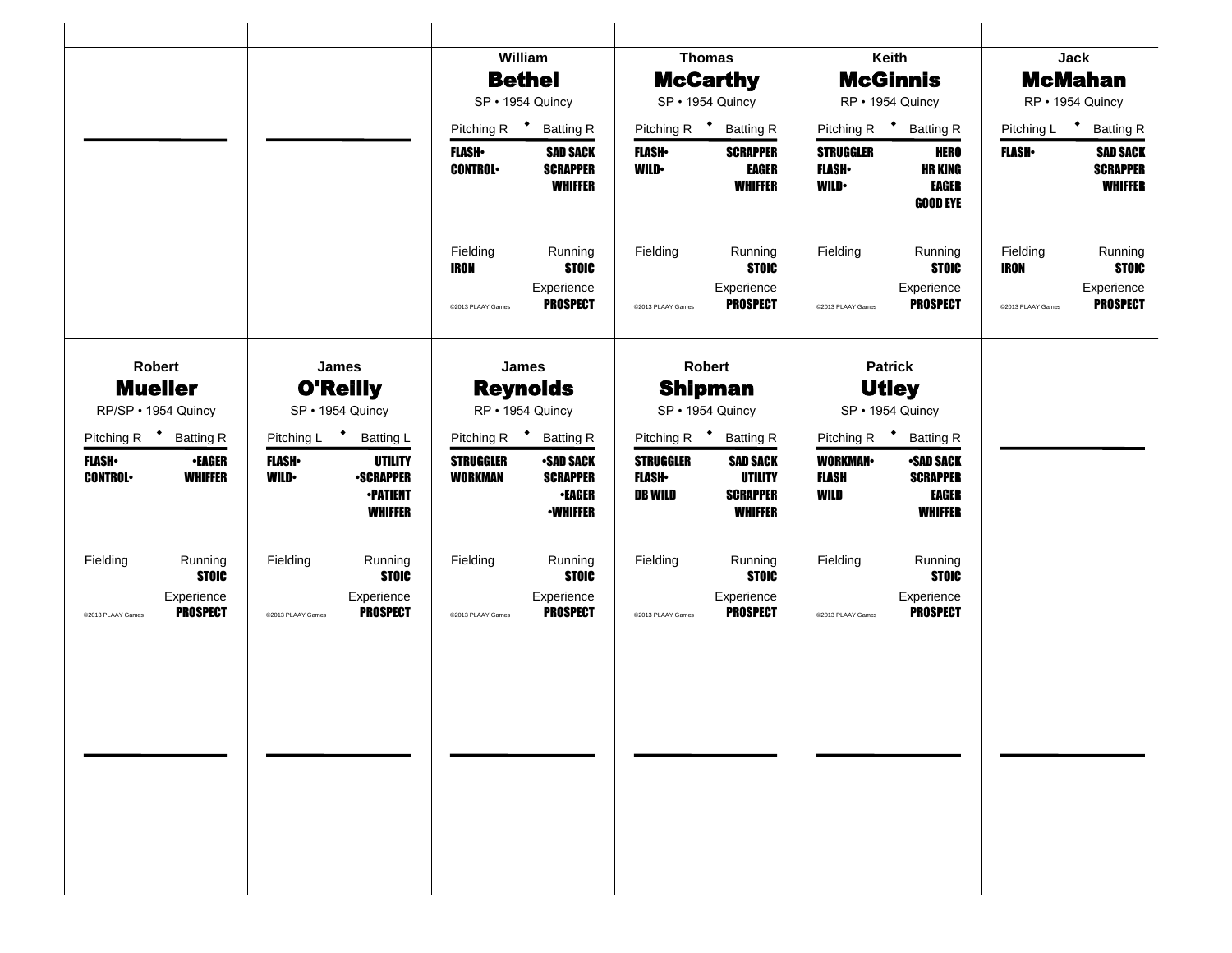|                                                            |                                                                                                           | William                                                                                                      | <b>Thomas</b>                                                                                                                  | Keith                                                                                                                 | Jack                                                                  |  |
|------------------------------------------------------------|-----------------------------------------------------------------------------------------------------------|--------------------------------------------------------------------------------------------------------------|--------------------------------------------------------------------------------------------------------------------------------|-----------------------------------------------------------------------------------------------------------------------|-----------------------------------------------------------------------|--|
|                                                            |                                                                                                           | <b>Bethel</b>                                                                                                | <b>McCarthy</b>                                                                                                                | <b>McGinnis</b>                                                                                                       | <b>McMahan</b>                                                        |  |
|                                                            |                                                                                                           | SP · 1954 Quincy                                                                                             | SP · 1954 Quincy                                                                                                               | RP · 1954 Quincy                                                                                                      | RP · 1954 Quincy                                                      |  |
|                                                            |                                                                                                           | Pitching R <sup>+</sup> Batting R                                                                            | Pitching R <sup>+</sup> Batting R                                                                                              | Pitching R <sup>+</sup> Batting R                                                                                     | Pitching L <sup>+</sup><br><b>Batting R</b>                           |  |
|                                                            |                                                                                                           | <b>FLASH</b><br><b>SAD SACK</b><br><b>CONTROL</b><br><b>SCRAPPER</b><br><b>WHIFFER</b>                       | <b>SCRAPPER</b><br><b>FLASH</b> •<br><b>WILD</b><br><b>EAGER</b><br><b>WHIFFER</b>                                             | <b>HERO</b><br><b>STRUGGLER</b><br><b>HR KING</b><br><b>FLASH</b> •<br><b>EAGER</b><br><b>WILD</b><br><b>GOOD EYE</b> | <b>SAD SACK</b><br><b>FLASH•</b><br><b>SCRAPPER</b><br><b>WHIFFER</b> |  |
|                                                            |                                                                                                           | Running<br>Fielding<br><b>STOIC</b><br><b>IRON</b>                                                           | Fielding<br>Running<br><b>STOIC</b>                                                                                            | Fielding<br>Running<br><b>STOIC</b>                                                                                   | Running<br>Fielding<br><b>STOIC</b><br><b>IRON</b>                    |  |
|                                                            |                                                                                                           | Experience<br><b>PROSPECT</b><br>@2013 PLAAY Games                                                           | Experience<br><b>PROSPECT</b><br>@2013 PLAAY Games                                                                             | Experience<br><b>PROSPECT</b><br>@2013 PLAAY Games                                                                    | Experience<br><b>PROSPECT</b><br>@2013 PLAAY Games                    |  |
| Robert                                                     | James                                                                                                     | James                                                                                                        | <b>Robert</b>                                                                                                                  | <b>Patrick</b>                                                                                                        |                                                                       |  |
| <b>Mueller</b>                                             | <b>O'Reilly</b>                                                                                           | <b>Reynolds</b>                                                                                              | <b>Shipman</b>                                                                                                                 | <b>Utley</b>                                                                                                          |                                                                       |  |
| RP/SP · 1954 Quincy<br>SP · 1954 Quincy                    |                                                                                                           | RP · 1954 Quincy                                                                                             | SP · 1954 Quincy                                                                                                               | SP · 1954 Quincy                                                                                                      |                                                                       |  |
| Pitching R <sup>+</sup> Batting R                          | Pitching L <sup>+</sup><br><b>Batting L</b>                                                               | Pitching R <b>*</b> Batting R                                                                                | Pitching R <sup>+</sup> Batting R                                                                                              | Pitching R <sup>+</sup> Batting R                                                                                     |                                                                       |  |
| <b>FLASH</b><br>•EAGER<br><b>CONTROL</b><br><b>WHIFFER</b> | <b>UTILITY</b><br><b>FLASH</b> •<br><b>WILD•</b><br><b>•SCRAPPER</b><br><b>-PATIENT</b><br><b>WHIFFER</b> | <b>STRUGGLER</b><br><b>SAD SACK</b><br><b>WORKMAN</b><br><b>SCRAPPER</b><br><b>•EAGER</b><br><b>•WHIFFER</b> | <b>STRUGGLER</b><br><b>SAD SACK</b><br><b>FLASH</b> •<br><b>UTILITY</b><br><b>DB WILD</b><br><b>SCRAPPER</b><br><b>WHIFFER</b> | <b>WORKMAN</b><br><b>•SAD SACK</b><br><b>FLASH</b><br><b>SCRAPPER</b><br>WILD<br><b>EAGER</b><br><b>WHIFFER</b>       |                                                                       |  |
| Fielding<br>Running<br><b>STOIC</b>                        | Fielding<br>Running<br><b>STOIC</b>                                                                       | Fielding<br>Running<br><b>STOIC</b>                                                                          | Fielding<br>Running<br><b>STOIC</b>                                                                                            | Fielding<br>Running<br><b>STOIC</b>                                                                                   |                                                                       |  |
| Experience<br><b>PROSPECT</b><br>@2013 PLAAY Games         | Experience<br><b>PROSPECT</b><br>@2013 PLAAY Games                                                        | Experience<br><b>PROSPECT</b><br>@2013 PLAAY Games                                                           | Experience<br><b>PROSPECT</b><br>@2013 PLAAY Games                                                                             | Experience<br><b>PROSPECT</b><br>@2013 PLAAY Games                                                                    |                                                                       |  |
|                                                            |                                                                                                           |                                                                                                              |                                                                                                                                |                                                                                                                       |                                                                       |  |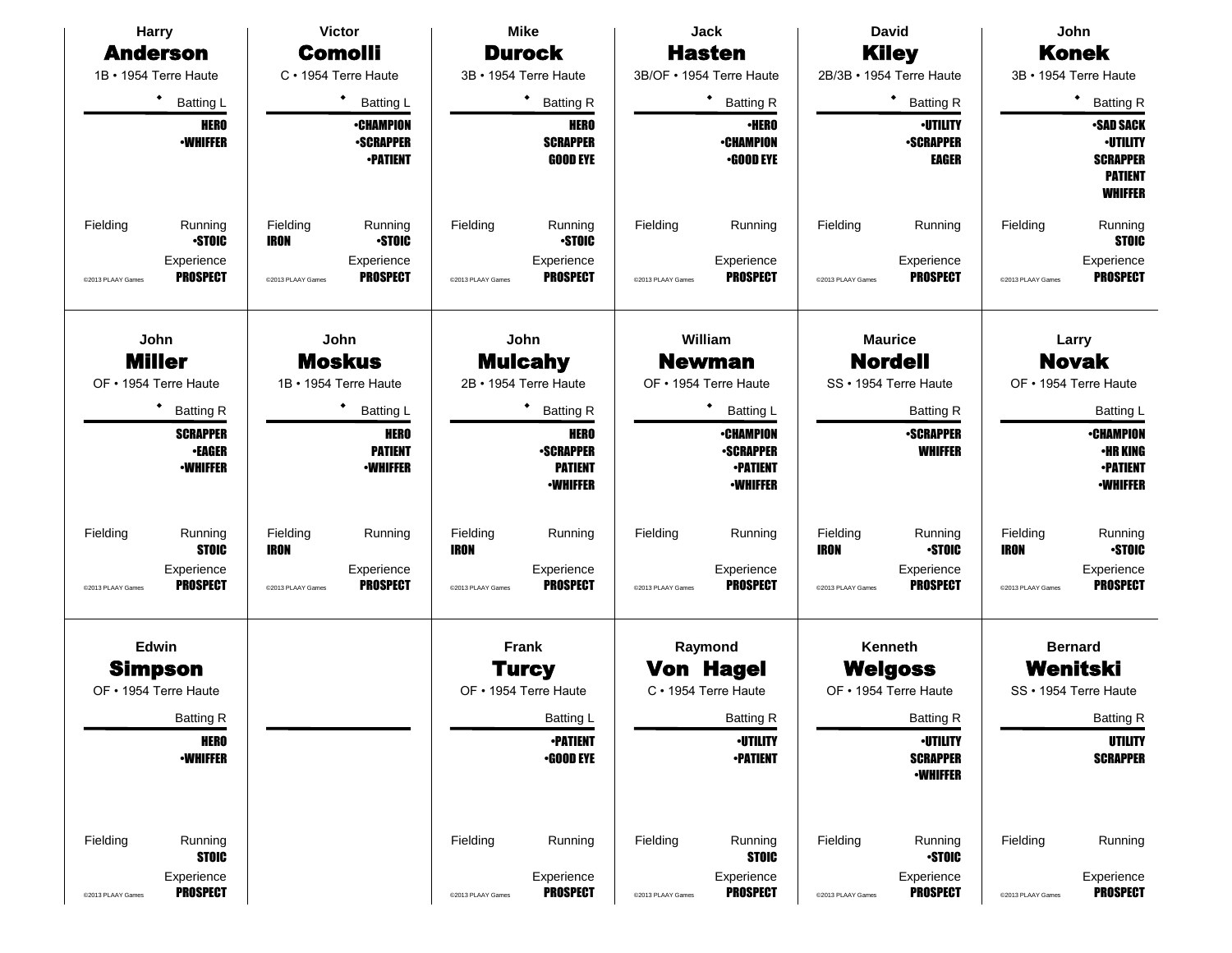| <b>Harry</b>                                                                              | <b>Victor</b>                                                                     | <b>Mike</b>                                                                              | Jack                                                                       | <b>David</b>                                                                                              | <b>John</b>                                                                                       |  |
|-------------------------------------------------------------------------------------------|-----------------------------------------------------------------------------------|------------------------------------------------------------------------------------------|----------------------------------------------------------------------------|-----------------------------------------------------------------------------------------------------------|---------------------------------------------------------------------------------------------------|--|
| <b>Anderson</b>                                                                           | <b>Comolli</b>                                                                    | <b>Durock</b>                                                                            | <b>Hasten</b>                                                              | <b>Kiley</b>                                                                                              | <b>Konek</b>                                                                                      |  |
| 1B · 1954 Terre Haute                                                                     | C · 1954 Terre Haute                                                              | 3B · 1954 Terre Haute                                                                    | 3B/OF . 1954 Terre Haute                                                   | 2B/3B · 1954 Terre Haute                                                                                  | 3B · 1954 Terre Haute                                                                             |  |
| ٠<br><b>Batting L</b>                                                                     | <b>Batting L</b>                                                                  | ٠<br><b>Batting R</b>                                                                    | ٠<br><b>Batting R</b>                                                      | ٠<br><b>Batting R</b>                                                                                     | <b>Batting R</b>                                                                                  |  |
| <b>HERO</b><br><b>-WHIFFER</b>                                                            | <b>•CHAMPION</b><br><b>•SCRAPPER</b><br><b>•PATIENT</b>                           | <b>HERO</b><br><b>SCRAPPER</b><br><b>GOOD EYE</b>                                        | <b>·HERO</b><br><b>•CHAMPION</b><br><b>•GOOD EYE</b>                       | <b>·UTILITY</b><br><b>-SCRAPPER</b><br><b>EAGER</b>                                                       | <b>SAD SACK</b><br><b>•UTILITY</b><br><b>SCRAPPER</b><br><b>PATIENT</b><br><b>WHIFFER</b>         |  |
| Fielding<br>Running<br><b>STOIC</b>                                                       | Fielding<br>Running<br><b>STOIC</b><br><b>IRON</b>                                | Fielding<br>Running<br><b>STOIC</b>                                                      | Fielding<br>Running                                                        | Fielding<br>Running                                                                                       | Fielding<br>Running<br><b>STOIC</b>                                                               |  |
| Experience<br><b>PROSPECT</b><br>@2013 PLAAY Games                                        | Experience<br><b>PROSPECT</b><br>@2013 PLAAY Games                                | Experience<br><b>PROSPECT</b><br>@2013 PLAAY Games                                       | Experience<br><b>PROSPECT</b><br>@2013 PLAAY Games                         | Experience<br><b>PROSPECT</b><br>@2013 PLAAY Games                                                        | Experience<br><b>PROSPECT</b><br>@2013 PLAAY Games                                                |  |
| John<br><b>Miller</b><br>OF • 1954 Terre Haute                                            | John<br><b>Moskus</b><br>1B · 1954 Terre Haute                                    | John<br><b>Mulcahy</b><br>2B · 1954 Terre Haute                                          | William<br><b>Newman</b><br>OF • 1954 Terre Haute                          | <b>Maurice</b><br><b>Nordell</b><br>SS · 1954 Terre Haute                                                 | Larry<br><b>Novak</b><br>OF • 1954 Terre Haute                                                    |  |
| ٠<br><b>Batting R</b>                                                                     | <b>Batting L</b>                                                                  | <b>Batting R</b>                                                                         | Batting L                                                                  | <b>Batting R</b>                                                                                          | Batting L                                                                                         |  |
| <b>SCRAPPER</b><br><b>•EAGER</b><br><b><i>•WHIFFER</i></b>                                | <b>HERO</b><br><b>PATIENT</b><br><b>•WHIFFER</b>                                  | <b>HERO</b><br><b>-SCRAPPER</b><br><b>PATIENT</b><br><b>-WHIFFER</b>                     | <b>•CHAMPION</b><br><b>-SCRAPPER</b><br><b>•PATIENT</b><br><b>•WHIFFER</b> | <b>-SCRAPPER</b><br><b>WHIFFER</b>                                                                        | <b>•CHAMPION</b><br><b>•HR KING</b><br><b>•PATIENT</b><br><b>•WHIFFER</b>                         |  |
| Fielding<br>Running<br><b>STOIC</b><br>Experience<br><b>PROSPECT</b><br>@2013 PLAAY Games | Fielding<br>Running<br>IRON<br>Experience<br><b>PROSPECT</b><br>@2013 PLAAY Games | Fielding<br>Running<br><b>IRON</b><br>Experience<br><b>PROSPECT</b><br>@2013 PLAAY Games | Fielding<br>Running<br>Experience<br><b>PROSPECT</b><br>@2013 PLAAY Games  | Fielding<br>Running<br><b>-STOIC</b><br><b>IRON</b><br>Experience<br><b>PROSPECT</b><br>@2013 PLAAY Games | Fielding<br>Running<br><b>STOIC</b><br>IRON<br>Experience<br><b>PROSPECT</b><br>@2013 PLAAY Games |  |
| Edwin<br><b>Simpson</b><br>OF • 1954 Terre Haute                                          |                                                                                   | Frank<br><b>Turcy</b><br>OF • 1954 Terre Haute                                           | Raymond<br><b>Von Hagel</b><br>C · 1954 Terre Haute                        | Kenneth<br><b>Welgoss</b><br>OF • 1954 Terre Haute                                                        | <b>Bernard</b><br>Wenitski<br>SS · 1954 Terre Haute                                               |  |
| <b>Batting R</b>                                                                          |                                                                                   | Batting L                                                                                | <b>Batting R</b>                                                           | <b>Batting R</b>                                                                                          | <b>Batting R</b>                                                                                  |  |
| <b>HERO</b><br><b>-WHIFFER</b>                                                            |                                                                                   | <b>•PATIENT</b><br>$\cdot$ GOOD EYE                                                      | <b>·UTILITY</b><br><b>-PATIENT</b>                                         | <b>·UTILITY</b><br><b>SCRAPPER</b><br><b>-WHIFFER</b>                                                     | UTILITY<br><b>SCRAPPER</b>                                                                        |  |
| Fielding<br>Running<br><b>STOIC</b>                                                       |                                                                                   | Fielding<br>Running                                                                      | Fielding<br>Running<br><b>STOIC</b>                                        | Fielding<br>Running<br><b>-STOIC</b>                                                                      | Fielding<br>Running                                                                               |  |
| Experience<br><b>PROSPECT</b><br>@2013 PLAAY Games                                        |                                                                                   | Experience<br><b>PROSPECT</b><br>@2013 PLAAY Games                                       | Experience<br><b>PROSPECT</b><br>@2013 PLAAY Games                         | Experience<br><b>PROSPECT</b><br>@2013 PLAAY Games                                                        | Experience<br><b>PROSPECT</b><br>@2013 PLAAY Games                                                |  |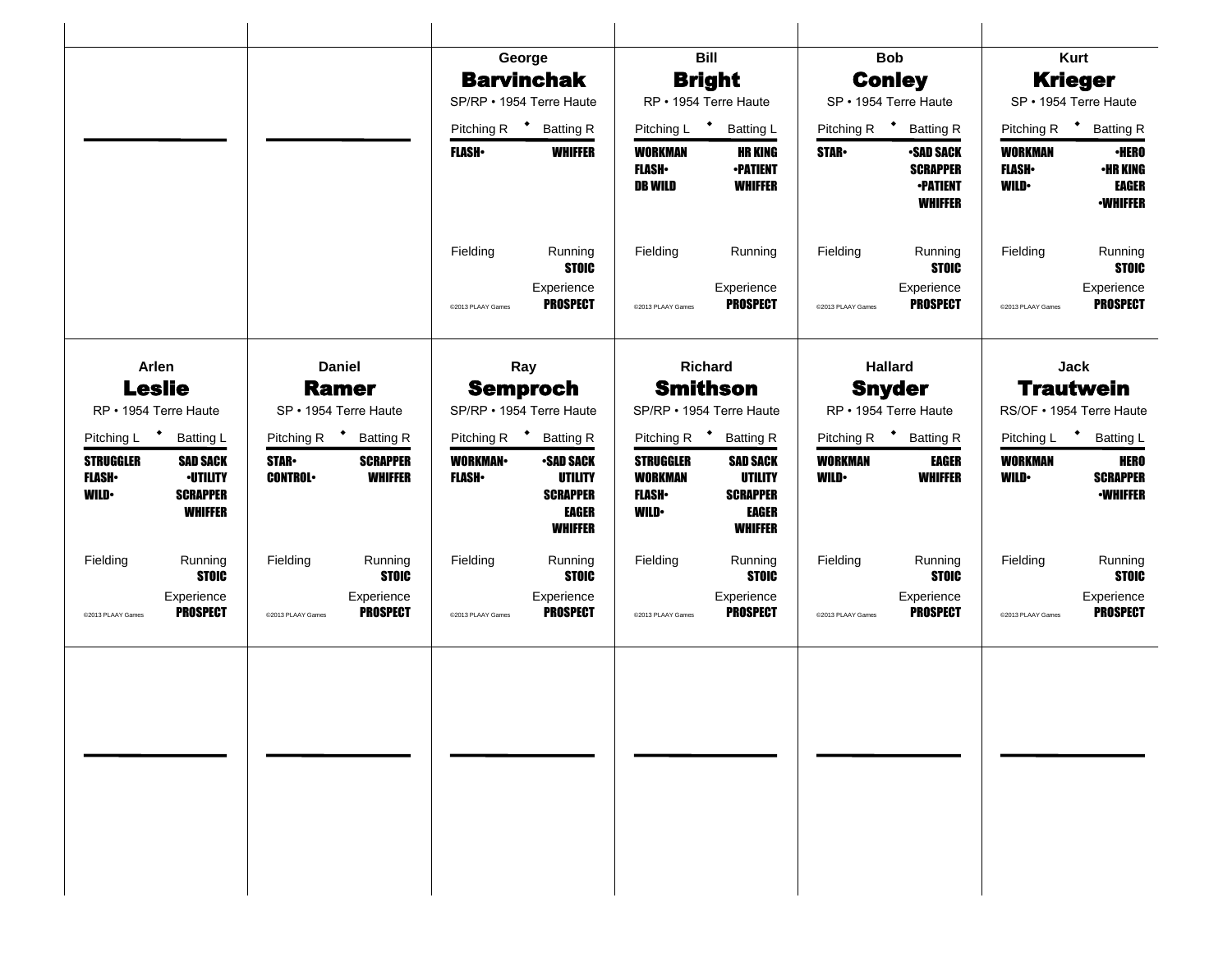|                                                                                                                              |                                |                                                                      | George                                                                                  |                                                                   | <b>Bill</b>                                                                            |                                          | <b>Bob</b>                                                               |                                        | <b>Kurt</b>                                                        |  |
|------------------------------------------------------------------------------------------------------------------------------|--------------------------------|----------------------------------------------------------------------|-----------------------------------------------------------------------------------------|-------------------------------------------------------------------|----------------------------------------------------------------------------------------|------------------------------------------|--------------------------------------------------------------------------|----------------------------------------|--------------------------------------------------------------------|--|
|                                                                                                                              |                                |                                                                      | <b>Barvinchak</b>                                                                       |                                                                   | <b>Bright</b>                                                                          |                                          | <b>Conley</b>                                                            |                                        | <b>Krieger</b>                                                     |  |
|                                                                                                                              |                                |                                                                      | SP/RP · 1954 Terre Haute                                                                | RP · 1954 Terre Haute                                             |                                                                                        | SP · 1954 Terre Haute                    |                                                                          | SP · 1954 Terre Haute                  |                                                                    |  |
|                                                                                                                              |                                |                                                                      | Pitching R <sup>+</sup> Batting R                                                       | Pitching L <sup>+</sup><br><b>Batting L</b>                       |                                                                                        | Pitching R $\bullet$<br><b>Batting R</b> |                                                                          | Pitching R <sup>+</sup> Batting R      |                                                                    |  |
|                                                                                                                              |                                | <b>FLASH</b> •                                                       | <b>WHIFFER</b>                                                                          | WORKMAN<br><b>FLASH</b><br><b>DB WILD</b>                         | <b>HR KING</b><br><b>-PATIENT</b><br><b>WHIFFER</b>                                    | <b>STAR-</b>                             | <b>•SAD SACK</b><br><b>SCRAPPER</b><br><b>•PATIENT</b><br><b>WHIFFER</b> | WORKMAN<br><b>FLASH</b><br><b>WILD</b> | <b>•HERO</b><br><b>•HR KING</b><br><b>EAGER</b><br><b>•WHIFFER</b> |  |
|                                                                                                                              |                                | Fielding                                                             | Running<br><b>STOIC</b>                                                                 | Fielding                                                          | Running                                                                                | Fielding                                 | Running<br><b>STOIC</b>                                                  | Fielding                               | Running<br><b>STOIC</b>                                            |  |
|                                                                                                                              |                                | @2013 PLAAY Games                                                    | Experience<br><b>PROSPECT</b>                                                           | @2013 PLAAY Games                                                 | Experience<br><b>PROSPECT</b>                                                          | @2013 PLAAY Games                        | Experience<br><b>PROSPECT</b>                                            | @2013 PLAAY Games                      | Experience<br><b>PROSPECT</b>                                      |  |
| Arlen<br><b>Daniel</b>                                                                                                       |                                |                                                                      | Ray                                                                                     |                                                                   | Richard                                                                                |                                          | <b>Hallard</b>                                                           |                                        | Jack                                                               |  |
| <b>Leslie</b>                                                                                                                | <b>Ramer</b>                   |                                                                      | <b>Semproch</b>                                                                         |                                                                   | <b>Smithson</b>                                                                        |                                          | <b>Snyder</b>                                                            |                                        | <b>Trautwein</b>                                                   |  |
| RP • 1954 Terre Haute                                                                                                        | SP · 1954 Terre Haute          |                                                                      | SP/RP · 1954 Terre Haute                                                                |                                                                   | SP/RP · 1954 Terre Haute                                                               |                                          | RP · 1954 Terre Haute                                                    |                                        | RS/OF • 1954 Terre Haute                                           |  |
| Pitching L <sup>+</sup><br><b>Batting L</b>                                                                                  | Pitching R <sup>+</sup>        | <b>Batting R</b>                                                     | Pitching R <sup>+</sup> Batting R                                                       | Pitching R <sup>+</sup>                                           | <b>Batting R</b>                                                                       | Pitching R <sup>+</sup>                  | <b>Batting R</b>                                                         | Pitching L <sup>+</sup>                | <b>Batting L</b>                                                   |  |
| <b>STRUGGLER</b><br><b>SAD SACK</b><br><b>-UTILITY</b><br><b>FLASH</b> •<br><b>SCRAPPER</b><br><b>WILD</b><br><b>WHIFFER</b> | <b>STAR-</b><br><b>CONTROL</b> | <b>SCRAPPER</b><br><b>WORKMAN-</b><br><b>WHIFFER</b><br><b>FLASH</b> | <b>-SAD SACK</b><br><b>UTILITY</b><br><b>SCRAPPER</b><br><b>EAGER</b><br><b>WHIFFER</b> | <b>STRUGGLER</b><br><b>WORKMAN</b><br><b>FLASH</b><br><b>WILD</b> | <b>SAD SACK</b><br><b>UTILITY</b><br><b>SCRAPPER</b><br><b>EAGER</b><br><b>WHIFFER</b> | <b>WORKMAN</b><br><b>WILD</b>            | <b>EAGER</b><br><b>WHIFFER</b>                                           | <b>WORKMAN</b><br><b>WILD</b>          | <b>HERO</b><br><b>SCRAPPER</b><br><b>-WHIFFER</b>                  |  |
| Fielding<br>Running<br><b>STOIC</b>                                                                                          | Fielding                       | Fielding<br>Running<br><b>STOIC</b>                                  | Running<br><b>STOIC</b>                                                                 | Fielding                                                          | Running<br><b>STOIC</b>                                                                | Fielding                                 | Running<br><b>STOIC</b>                                                  | Fielding                               | Running<br><b>STOIC</b>                                            |  |
| Experience<br><b>PROSPECT</b><br>@2013 PLAAY Games                                                                           | @2013 PLAAY Games              | Experience<br><b>PROSPECT</b><br>@2013 PLAAY Games                   | Experience<br><b>PROSPECT</b>                                                           | @2013 PLAAY Games                                                 | Experience<br><b>PROSPECT</b>                                                          | @2013 PLAAY Games                        | Experience<br><b>PROSPECT</b>                                            | @2013 PLAAY Games                      | Experience<br><b>PROSPECT</b>                                      |  |
|                                                                                                                              |                                |                                                                      |                                                                                         |                                                                   |                                                                                        |                                          |                                                                          |                                        |                                                                    |  |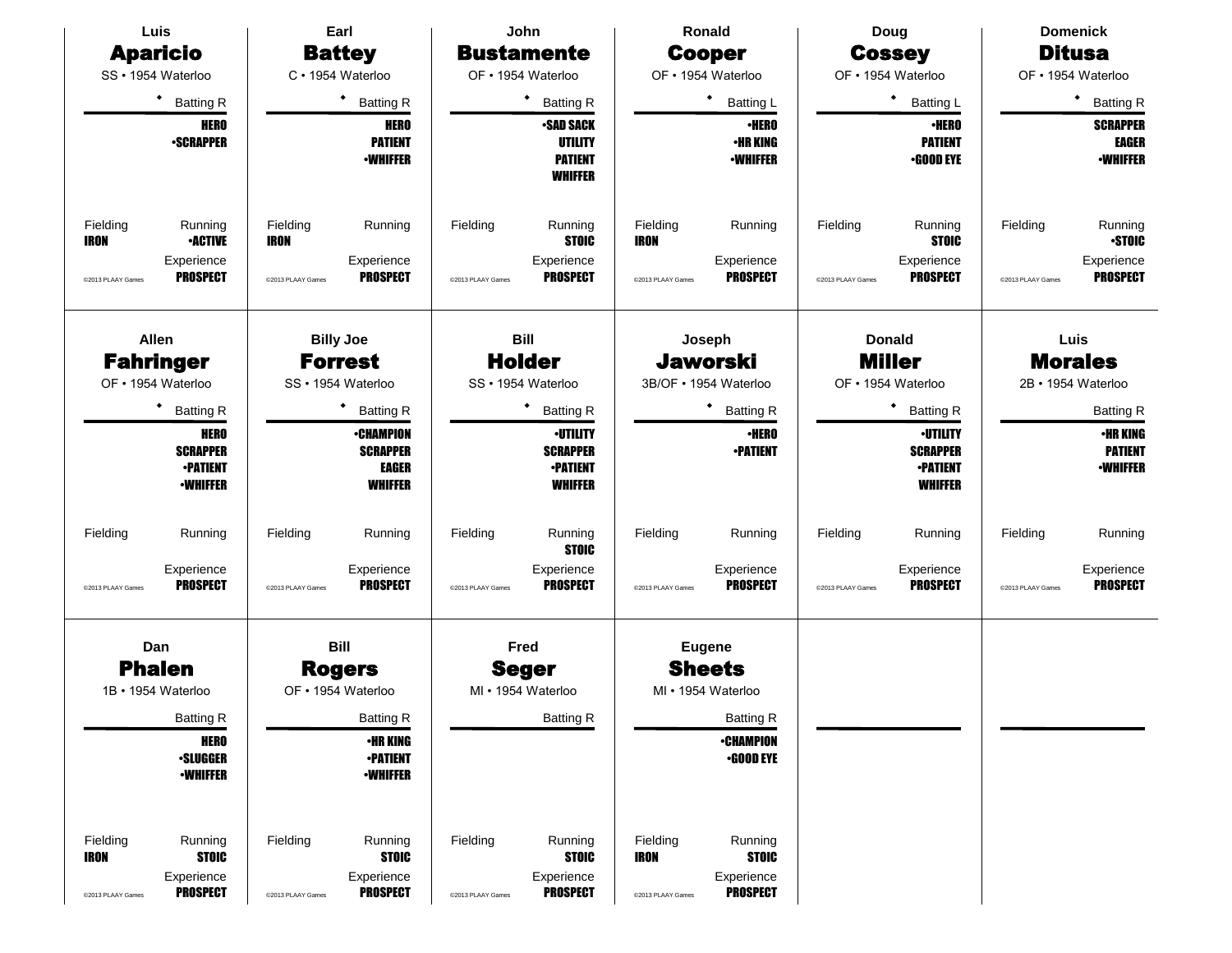| Luis                                                               |                                                                                                                   | Earl                                         |                                                                                                                                                                                | John                          |                                                                                                                                                                                                 | <b>Ronald</b>                                |                                                                                                                                    | Doug                          |                                                                                                                                                                                   | <b>Domenick</b>               |                                                                                                                                                   |
|--------------------------------------------------------------------|-------------------------------------------------------------------------------------------------------------------|----------------------------------------------|--------------------------------------------------------------------------------------------------------------------------------------------------------------------------------|-------------------------------|-------------------------------------------------------------------------------------------------------------------------------------------------------------------------------------------------|----------------------------------------------|------------------------------------------------------------------------------------------------------------------------------------|-------------------------------|-----------------------------------------------------------------------------------------------------------------------------------------------------------------------------------|-------------------------------|---------------------------------------------------------------------------------------------------------------------------------------------------|
| <b>Aparicio</b>                                                    |                                                                                                                   | <b>Battey</b>                                |                                                                                                                                                                                | <b>Bustamente</b>             |                                                                                                                                                                                                 | <b>Cooper</b>                                |                                                                                                                                    | <b>Cossey</b>                 |                                                                                                                                                                                   | <b>Ditusa</b>                 |                                                                                                                                                   |
| SS · 1954 Waterloo                                                 |                                                                                                                   |                                              | C · 1954 Waterloo                                                                                                                                                              |                               | OF • 1954 Waterloo                                                                                                                                                                              | OF • 1954 Waterloo                           |                                                                                                                                    | OF · 1954 Waterloo            |                                                                                                                                                                                   | OF • 1954 Waterloo            |                                                                                                                                                   |
|                                                                    | $\bullet$<br><b>Batting R</b>                                                                                     |                                              | ٠<br><b>Batting R</b>                                                                                                                                                          |                               | ٠<br><b>Batting R</b>                                                                                                                                                                           |                                              | ٠<br><b>Batting L</b>                                                                                                              |                               | ٠<br><b>Batting L</b>                                                                                                                                                             |                               | ٠<br><b>Batting R</b>                                                                                                                             |
|                                                                    | <b>HERO</b><br><b>-SCRAPPER</b>                                                                                   |                                              | <b>HERO</b><br><b>PATIENT</b><br><b>•WHIFFER</b>                                                                                                                               |                               | <b>-SAD SACK</b><br><b>UTILITY</b><br><b>PATIENT</b><br><b>WHIFFER</b>                                                                                                                          |                                              | <b>·HERO</b><br><b>•HR KING</b><br><b>-WHIFFER</b>                                                                                 |                               | <b>•HERO</b><br><b>PATIENT</b><br><b>.GOOD EYE</b>                                                                                                                                |                               | <b>SCRAPPER</b><br><b>EAGER</b><br><b>-WHIFFER</b>                                                                                                |
| Fielding<br><b>IRON</b><br>@2013 PLAAY Games                       | Running<br><b>•ACTIVE</b><br>Experience<br><b>PROSPECT</b>                                                        | Fielding<br><b>IRON</b><br>@2013 PLAAY Games | Running<br>Experience<br><b>PROSPECT</b>                                                                                                                                       | Fielding<br>@2013 PLAAY Games | Running<br><b>STOIC</b><br>Experience<br><b>PROSPECT</b>                                                                                                                                        | Fielding<br><b>IRON</b><br>@2013 PLAAY Games | Running<br>Experience<br><b>PROSPECT</b>                                                                                           | Fielding<br>@2013 PLAAY Games | Running<br><b>STOIC</b><br>Experience<br><b>PROSPECT</b>                                                                                                                          | Fielding<br>@2013 PLAAY Games | Running<br><b>STOIC</b><br>Experience<br><b>PROSPECT</b>                                                                                          |
| <b>Allen</b><br><b>Fahringer</b><br>OF • 1954 Waterloo<br>Fielding | <b>Batting R</b><br><b>HERO</b><br><b>SCRAPPER</b><br><b>-PATIENT</b><br><b>-WHIFFER</b><br>Running<br>Experience | Fielding                                     | <b>Billy Joe</b><br><b>Forrest</b><br>SS · 1954 Waterloo<br><b>Batting R</b><br><b>•CHAMPION</b><br><b>SCRAPPER</b><br><b>EAGER</b><br><b>WHIFFER</b><br>Running<br>Experience | Fielding                      | <b>Bill</b><br><b>Holder</b><br>SS · 1954 Waterloo<br>٠<br><b>Batting R</b><br><b>-UTILITY</b><br><b>SCRAPPER</b><br><b>-PATIENT</b><br><b>WHIFFER</b><br>Running<br><b>STOIC</b><br>Experience | Fielding                                     | Joseph<br><b>Jaworski</b><br>3B/OF · 1954 Waterloo<br><b>Batting R</b><br><b>·HERO</b><br><b>•PATIENT</b><br>Running<br>Experience | Fielding                      | <b>Donald</b><br><b>Miller</b><br>OF · 1954 Waterloo<br>٠<br><b>Batting R</b><br><b>-UTILITY</b><br><b>SCRAPPER</b><br><b>-PATIENT</b><br><b>WHIFFER</b><br>Running<br>Experience | Fielding                      | Luis<br><b>Morales</b><br>2B · 1954 Waterloo<br><b>Batting R</b><br><b>•HR KING</b><br><b>PATIENT</b><br><b>·WHIFFER</b><br>Running<br>Experience |
| @2013 PLAAY Games                                                  | <b>PROSPECT</b>                                                                                                   | @2013 PLAAY Games                            | <b>PROSPECT</b>                                                                                                                                                                | @2013 PLAAY Games             | <b>PROSPECT</b>                                                                                                                                                                                 | @2013 PLAAY Games                            | <b>PROSPECT</b>                                                                                                                    | @2013 PLAAY Games             | <b>PROSPECT</b>                                                                                                                                                                   | @2013 PLAAY Games             | <b>PROSPECT</b>                                                                                                                                   |
| Dan                                                                |                                                                                                                   |                                              | <b>Bill</b>                                                                                                                                                                    |                               | Fred                                                                                                                                                                                            |                                              | <b>Eugene</b>                                                                                                                      |                               |                                                                                                                                                                                   |                               |                                                                                                                                                   |
| <b>Phalen</b>                                                      |                                                                                                                   | <b>Rogers</b>                                |                                                                                                                                                                                | <b>Seger</b>                  |                                                                                                                                                                                                 | <b>Sheets</b>                                |                                                                                                                                    |                               |                                                                                                                                                                                   |                               |                                                                                                                                                   |
| 1B · 1954 Waterloo                                                 |                                                                                                                   |                                              | OF • 1954 Waterloo                                                                                                                                                             |                               | MI • 1954 Waterloo                                                                                                                                                                              |                                              | MI · 1954 Waterloo                                                                                                                 |                               |                                                                                                                                                                                   |                               |                                                                                                                                                   |
|                                                                    | <b>Batting R</b>                                                                                                  |                                              | <b>Batting R</b>                                                                                                                                                               |                               | <b>Batting R</b>                                                                                                                                                                                |                                              | <b>Batting R</b>                                                                                                                   |                               |                                                                                                                                                                                   |                               |                                                                                                                                                   |
|                                                                    | <b>HERO</b><br><b>-SLUGGER</b><br><b>-WHIFFER</b>                                                                 |                                              | <b>•HR KING</b><br><b>-PATIENT</b><br><b>-WHIFFER</b>                                                                                                                          |                               |                                                                                                                                                                                                 |                                              | <b>•CHAMPION</b><br>$\cdot$ GOOD EYE                                                                                               |                               |                                                                                                                                                                                   |                               |                                                                                                                                                   |
| Fielding<br><b>IRON</b><br>@2013 PLAAY Games                       | Running<br><b>STOIC</b><br>Experience<br><b>PROSPECT</b>                                                          | Fielding<br>@2013 PLAAY Games                | Running<br><b>STOIC</b><br>Experience<br><b>PROSPECT</b>                                                                                                                       | Fielding<br>@2013 PLAAY Games | Running<br><b>STOIC</b><br>Experience<br><b>PROSPECT</b>                                                                                                                                        | Fielding<br>IRON<br>@2013 PLAAY Games        | Running<br><b>STOIC</b><br>Experience<br><b>PROSPECT</b>                                                                           |                               |                                                                                                                                                                                   |                               |                                                                                                                                                   |